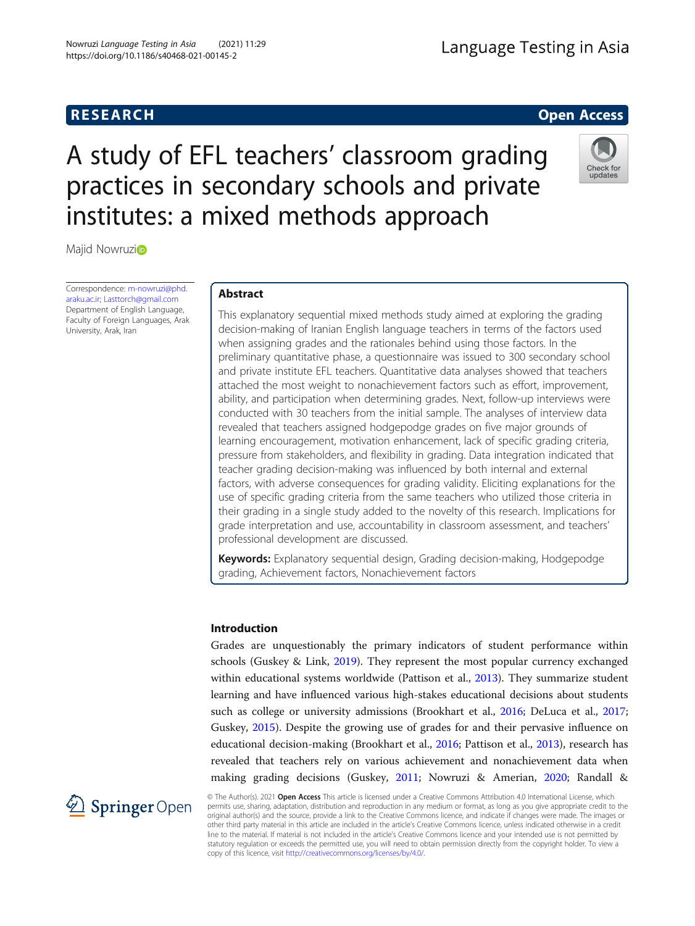# **RESEARCH RESEARCH CONSUMING ACCESS**

# A study of EFL teachers' classroom grading practices in secondary schools and private institutes: a mixed methods approach



Maj[i](http://orcid.org/0000-0001-5682-7478)d Nowruzio

Correspondence: [m-nowruzi@phd.](mailto:m-nowruzi@phd.araku.ac.ir) [araku.ac.ir;](mailto:m-nowruzi@phd.araku.ac.ir) [Lasttorch@gmail.com](mailto:Lasttorch@gmail.com) Department of English Language, Faculty of Foreign Languages, Arak University, Arak, Iran

## Abstract

This explanatory sequential mixed methods study aimed at exploring the grading decision-making of Iranian English language teachers in terms of the factors used when assigning grades and the rationales behind using those factors. In the preliminary quantitative phase, a questionnaire was issued to 300 secondary school and private institute EFL teachers. Quantitative data analyses showed that teachers attached the most weight to nonachievement factors such as effort, improvement, ability, and participation when determining grades. Next, follow-up interviews were conducted with 30 teachers from the initial sample. The analyses of interview data revealed that teachers assigned hodgepodge grades on five major grounds of learning encouragement, motivation enhancement, lack of specific grading criteria, pressure from stakeholders, and flexibility in grading. Data integration indicated that teacher grading decision-making was influenced by both internal and external factors, with adverse consequences for grading validity. Eliciting explanations for the use of specific grading criteria from the same teachers who utilized those criteria in their grading in a single study added to the novelty of this research. Implications for grade interpretation and use, accountability in classroom assessment, and teachers' professional development are discussed.

Keywords: Explanatory sequential design, Grading decision-making, Hodgepodge grading, Achievement factors, Nonachievement factors

#### Introduction

Grades are unquestionably the primary indicators of student performance within schools (Guskey & Link, [2019\)](#page-21-0). They represent the most popular currency exchanged within educational systems worldwide (Pattison et al., [2013\)](#page-21-0). They summarize student learning and have influenced various high-stakes educational decisions about students such as college or university admissions (Brookhart et al., [2016](#page-20-0); DeLuca et al., [2017](#page-20-0); Guskey, [2015](#page-20-0)). Despite the growing use of grades for and their pervasive influence on educational decision-making (Brookhart et al., [2016](#page-20-0); Pattison et al., [2013](#page-21-0)), research has revealed that teachers rely on various achievement and nonachievement data when making grading decisions (Guskey, [2011;](#page-20-0) Nowruzi & Amerian, [2020](#page-21-0); Randall &



© The Author(s). 2021 Open Access This article is licensed under a Creative Commons Attribution 4.0 International License, which permits use, sharing, adaptation, distribution and reproduction in any medium or format, as long as you give appropriate credit to the original author(s) and the source, provide a link to the Creative Commons licence, and indicate if changes were made. The images or other third party material in this article are included in the article's Creative Commons licence, unless indicated otherwise in a credit line to the material. If material is not included in the article's Creative Commons licence and your intended use is not permitted by statutory regulation or exceeds the permitted use, you will need to obtain permission directly from the copyright holder. To view a copy of this licence, visit <http://creativecommons.org/licenses/by/4.0/>.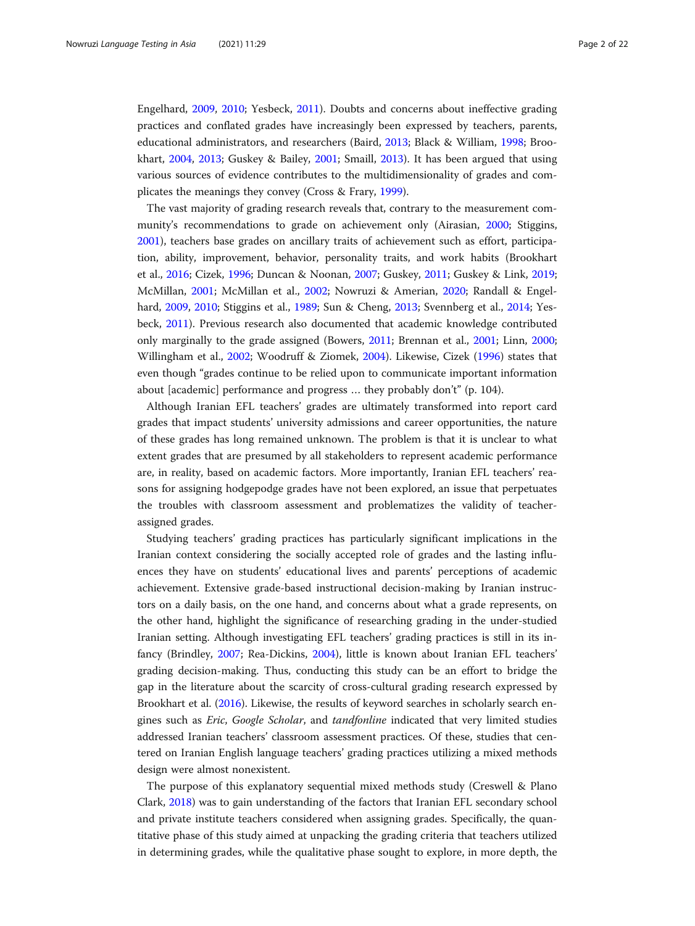Engelhard, [2009](#page-21-0), [2010;](#page-21-0) Yesbeck, [2011\)](#page-21-0). Doubts and concerns about ineffective grading practices and conflated grades have increasingly been expressed by teachers, parents, educational administrators, and researchers (Baird, [2013;](#page-20-0) Black & William, [1998;](#page-20-0) Brookhart, [2004](#page-20-0), [2013;](#page-20-0) Guskey & Bailey, [2001;](#page-21-0) Smaill, [2013\)](#page-21-0). It has been argued that using various sources of evidence contributes to the multidimensionality of grades and complicates the meanings they convey (Cross & Frary, [1999](#page-20-0)).

The vast majority of grading research reveals that, contrary to the measurement community's recommendations to grade on achievement only (Airasian, [2000](#page-20-0); Stiggins, [2001](#page-21-0)), teachers base grades on ancillary traits of achievement such as effort, participation, ability, improvement, behavior, personality traits, and work habits (Brookhart et al., [2016](#page-20-0); Cizek, [1996](#page-20-0); Duncan & Noonan, [2007](#page-20-0); Guskey, [2011;](#page-20-0) Guskey & Link, [2019](#page-21-0); McMillan, [2001;](#page-21-0) McMillan et al., [2002;](#page-21-0) Nowruzi & Amerian, [2020](#page-21-0); Randall & Engelhard, [2009](#page-21-0), [2010](#page-21-0); Stiggins et al., [1989;](#page-21-0) Sun & Cheng, [2013](#page-21-0); Svennberg et al., [2014](#page-21-0); Yesbeck, [2011\)](#page-21-0). Previous research also documented that academic knowledge contributed only marginally to the grade assigned (Bowers, [2011;](#page-20-0) Brennan et al., [2001](#page-20-0); Linn, [2000](#page-21-0); Willingham et al., [2002](#page-21-0); Woodruff & Ziomek, [2004\)](#page-21-0). Likewise, Cizek [\(1996\)](#page-20-0) states that even though "grades continue to be relied upon to communicate important information about [academic] performance and progress … they probably don't" (p. 104).

Although Iranian EFL teachers' grades are ultimately transformed into report card grades that impact students' university admissions and career opportunities, the nature of these grades has long remained unknown. The problem is that it is unclear to what extent grades that are presumed by all stakeholders to represent academic performance are, in reality, based on academic factors. More importantly, Iranian EFL teachers' reasons for assigning hodgepodge grades have not been explored, an issue that perpetuates the troubles with classroom assessment and problematizes the validity of teacherassigned grades.

Studying teachers' grading practices has particularly significant implications in the Iranian context considering the socially accepted role of grades and the lasting influences they have on students' educational lives and parents' perceptions of academic achievement. Extensive grade-based instructional decision-making by Iranian instructors on a daily basis, on the one hand, and concerns about what a grade represents, on the other hand, highlight the significance of researching grading in the under-studied Iranian setting. Although investigating EFL teachers' grading practices is still in its infancy (Brindley, [2007](#page-20-0); Rea-Dickins, [2004](#page-21-0)), little is known about Iranian EFL teachers' grading decision-making. Thus, conducting this study can be an effort to bridge the gap in the literature about the scarcity of cross-cultural grading research expressed by Brookhart et al. [\(2016\)](#page-20-0). Likewise, the results of keyword searches in scholarly search engines such as Eric, Google Scholar, and tandfonline indicated that very limited studies addressed Iranian teachers' classroom assessment practices. Of these, studies that centered on Iranian English language teachers' grading practices utilizing a mixed methods design were almost nonexistent.

The purpose of this explanatory sequential mixed methods study (Creswell & Plano Clark, [2018](#page-20-0)) was to gain understanding of the factors that Iranian EFL secondary school and private institute teachers considered when assigning grades. Specifically, the quantitative phase of this study aimed at unpacking the grading criteria that teachers utilized in determining grades, while the qualitative phase sought to explore, in more depth, the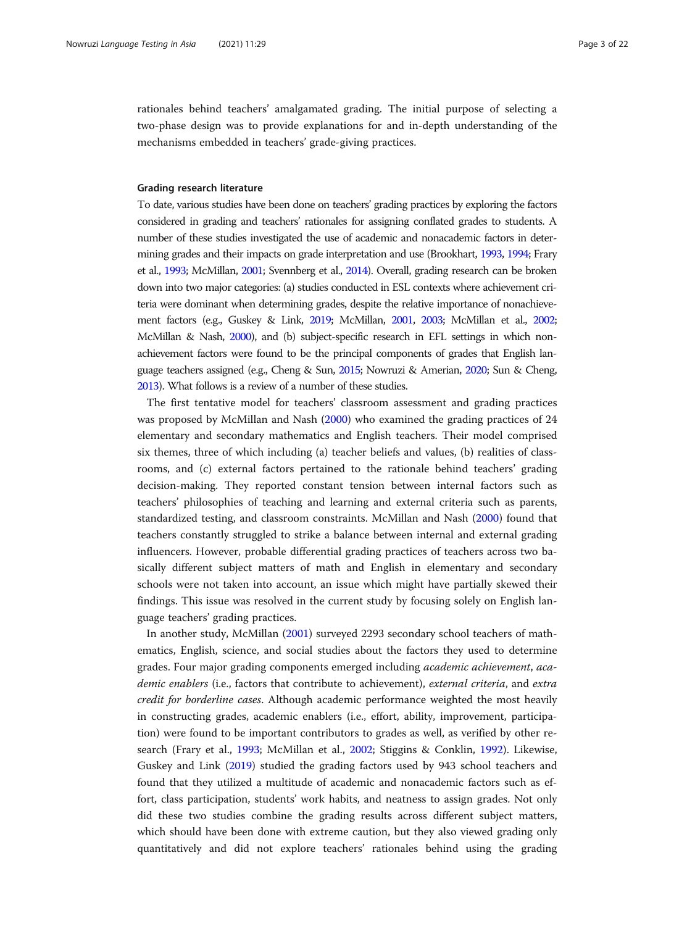rationales behind teachers' amalgamated grading. The initial purpose of selecting a two-phase design was to provide explanations for and in-depth understanding of the mechanisms embedded in teachers' grade-giving practices.

#### Grading research literature

To date, various studies have been done on teachers' grading practices by exploring the factors considered in grading and teachers' rationales for assigning conflated grades to students. A number of these studies investigated the use of academic and nonacademic factors in determining grades and their impacts on grade interpretation and use (Brookhart, [1993](#page-20-0), [1994](#page-20-0); Frary et al., [1993](#page-20-0); McMillan, [2001](#page-21-0); Svennberg et al., [2014](#page-21-0)). Overall, grading research can be broken down into two major categories: (a) studies conducted in ESL contexts where achievement criteria were dominant when determining grades, despite the relative importance of nonachievement factors (e.g., Guskey & Link, [2019;](#page-21-0) McMillan, [2001](#page-21-0), [2003;](#page-21-0) McMillan et al., [2002](#page-21-0); McMillan & Nash, [2000](#page-21-0)), and (b) subject-specific research in EFL settings in which nonachievement factors were found to be the principal components of grades that English language teachers assigned (e.g., Cheng & Sun, [2015;](#page-20-0) Nowruzi & Amerian, [2020](#page-21-0); Sun & Cheng, [2013](#page-21-0)). What follows is a review of a number of these studies.

The first tentative model for teachers' classroom assessment and grading practices was proposed by McMillan and Nash [\(2000](#page-21-0)) who examined the grading practices of 24 elementary and secondary mathematics and English teachers. Their model comprised six themes, three of which including (a) teacher beliefs and values, (b) realities of classrooms, and (c) external factors pertained to the rationale behind teachers' grading decision-making. They reported constant tension between internal factors such as teachers' philosophies of teaching and learning and external criteria such as parents, standardized testing, and classroom constraints. McMillan and Nash [\(2000\)](#page-21-0) found that teachers constantly struggled to strike a balance between internal and external grading influencers. However, probable differential grading practices of teachers across two basically different subject matters of math and English in elementary and secondary schools were not taken into account, an issue which might have partially skewed their findings. This issue was resolved in the current study by focusing solely on English language teachers' grading practices.

In another study, McMillan [\(2001\)](#page-21-0) surveyed 2293 secondary school teachers of mathematics, English, science, and social studies about the factors they used to determine grades. Four major grading components emerged including academic achievement, academic enablers (i.e., factors that contribute to achievement), external criteria, and extra credit for borderline cases. Although academic performance weighted the most heavily in constructing grades, academic enablers (i.e., effort, ability, improvement, participation) were found to be important contributors to grades as well, as verified by other research (Frary et al., [1993;](#page-20-0) McMillan et al., [2002](#page-21-0); Stiggins & Conklin, [1992](#page-21-0)). Likewise, Guskey and Link [\(2019\)](#page-21-0) studied the grading factors used by 943 school teachers and found that they utilized a multitude of academic and nonacademic factors such as effort, class participation, students' work habits, and neatness to assign grades. Not only did these two studies combine the grading results across different subject matters, which should have been done with extreme caution, but they also viewed grading only quantitatively and did not explore teachers' rationales behind using the grading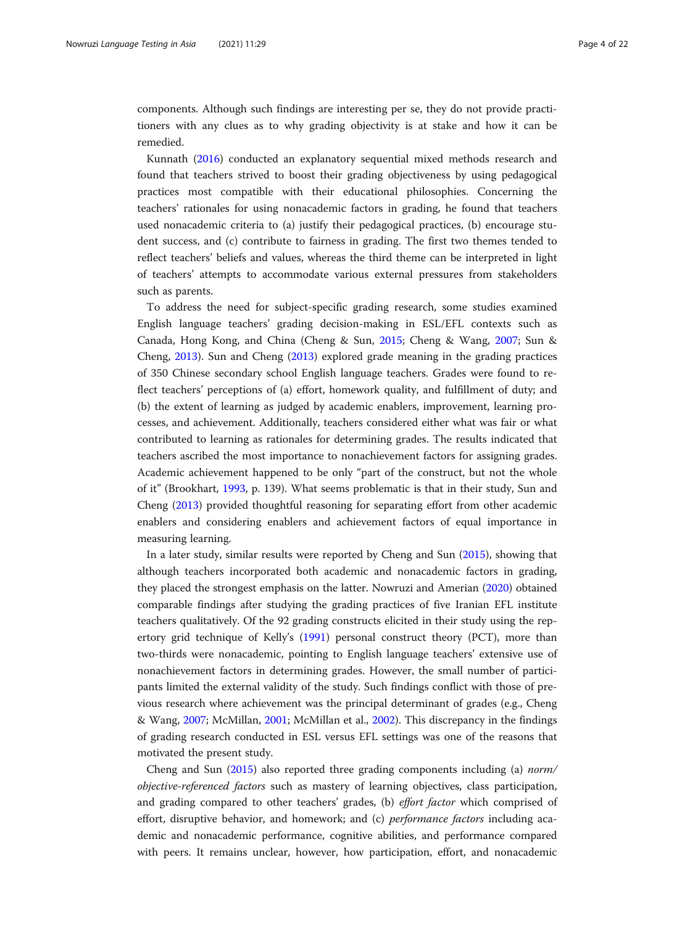components. Although such findings are interesting per se, they do not provide practitioners with any clues as to why grading objectivity is at stake and how it can be remedied.

Kunnath ([2016](#page-21-0)) conducted an explanatory sequential mixed methods research and found that teachers strived to boost their grading objectiveness by using pedagogical practices most compatible with their educational philosophies. Concerning the teachers' rationales for using nonacademic factors in grading, he found that teachers used nonacademic criteria to (a) justify their pedagogical practices, (b) encourage student success, and (c) contribute to fairness in grading. The first two themes tended to reflect teachers' beliefs and values, whereas the third theme can be interpreted in light of teachers' attempts to accommodate various external pressures from stakeholders such as parents.

To address the need for subject-specific grading research, some studies examined English language teachers' grading decision-making in ESL/EFL contexts such as Canada, Hong Kong, and China (Cheng & Sun, [2015;](#page-20-0) Cheng & Wang, [2007](#page-20-0); Sun & Cheng, [2013](#page-21-0)). Sun and Cheng ([2013](#page-21-0)) explored grade meaning in the grading practices of 350 Chinese secondary school English language teachers. Grades were found to reflect teachers' perceptions of (a) effort, homework quality, and fulfillment of duty; and (b) the extent of learning as judged by academic enablers, improvement, learning processes, and achievement. Additionally, teachers considered either what was fair or what contributed to learning as rationales for determining grades. The results indicated that teachers ascribed the most importance to nonachievement factors for assigning grades. Academic achievement happened to be only "part of the construct, but not the whole of it" (Brookhart, [1993](#page-20-0), p. 139). What seems problematic is that in their study, Sun and Cheng ([2013](#page-21-0)) provided thoughtful reasoning for separating effort from other academic enablers and considering enablers and achievement factors of equal importance in measuring learning.

In a later study, similar results were reported by Cheng and Sun ([2015](#page-20-0)), showing that although teachers incorporated both academic and nonacademic factors in grading, they placed the strongest emphasis on the latter. Nowruzi and Amerian ([2020](#page-21-0)) obtained comparable findings after studying the grading practices of five Iranian EFL institute teachers qualitatively. Of the 92 grading constructs elicited in their study using the repertory grid technique of Kelly's ([1991\)](#page-21-0) personal construct theory (PCT), more than two-thirds were nonacademic, pointing to English language teachers' extensive use of nonachievement factors in determining grades. However, the small number of participants limited the external validity of the study. Such findings conflict with those of previous research where achievement was the principal determinant of grades (e.g., Cheng & Wang, [2007;](#page-20-0) McMillan, [2001;](#page-21-0) McMillan et al., [2002\)](#page-21-0). This discrepancy in the findings of grading research conducted in ESL versus EFL settings was one of the reasons that motivated the present study.

Cheng and Sun ([2015](#page-20-0)) also reported three grading components including (a) norm/ objective-referenced factors such as mastery of learning objectives, class participation, and grading compared to other teachers' grades, (b) effort factor which comprised of effort, disruptive behavior, and homework; and (c) *performance factors* including academic and nonacademic performance, cognitive abilities, and performance compared with peers. It remains unclear, however, how participation, effort, and nonacademic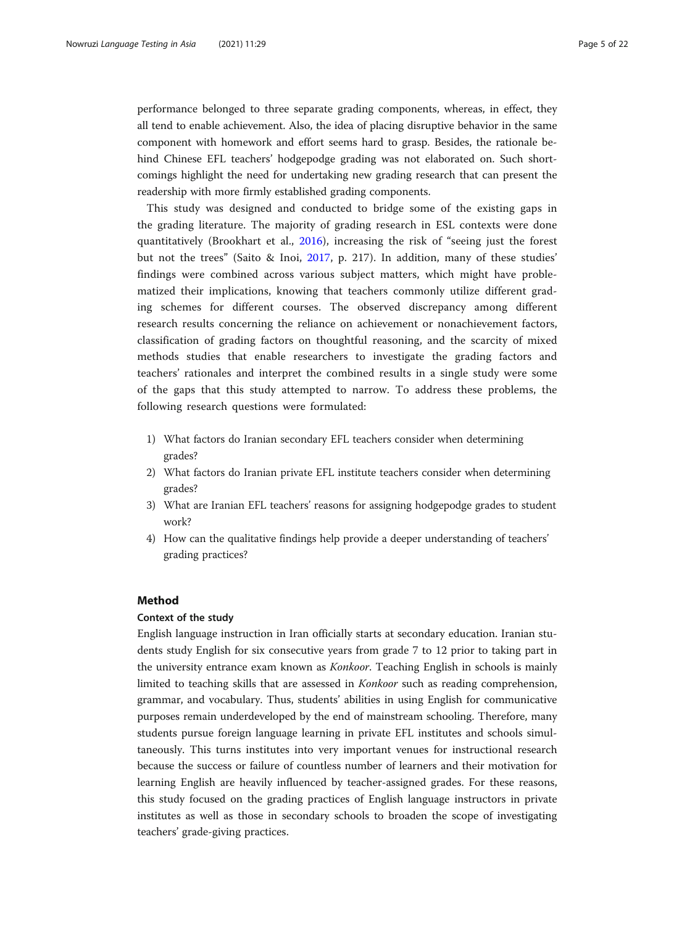performance belonged to three separate grading components, whereas, in effect, they all tend to enable achievement. Also, the idea of placing disruptive behavior in the same component with homework and effort seems hard to grasp. Besides, the rationale behind Chinese EFL teachers' hodgepodge grading was not elaborated on. Such shortcomings highlight the need for undertaking new grading research that can present the readership with more firmly established grading components.

This study was designed and conducted to bridge some of the existing gaps in the grading literature. The majority of grading research in ESL contexts were done quantitatively (Brookhart et al., [2016\)](#page-20-0), increasing the risk of "seeing just the forest but not the trees" (Saito & Inoi, [2017](#page-21-0), p. 217). In addition, many of these studies' findings were combined across various subject matters, which might have problematized their implications, knowing that teachers commonly utilize different grading schemes for different courses. The observed discrepancy among different research results concerning the reliance on achievement or nonachievement factors, classification of grading factors on thoughtful reasoning, and the scarcity of mixed methods studies that enable researchers to investigate the grading factors and teachers' rationales and interpret the combined results in a single study were some of the gaps that this study attempted to narrow. To address these problems, the following research questions were formulated:

- 1) What factors do Iranian secondary EFL teachers consider when determining grades?
- 2) What factors do Iranian private EFL institute teachers consider when determining grades?
- 3) What are Iranian EFL teachers' reasons for assigning hodgepodge grades to student work?
- 4) How can the qualitative findings help provide a deeper understanding of teachers' grading practices?

### Method

#### Context of the study

English language instruction in Iran officially starts at secondary education. Iranian students study English for six consecutive years from grade 7 to 12 prior to taking part in the university entrance exam known as Konkoor. Teaching English in schools is mainly limited to teaching skills that are assessed in Konkoor such as reading comprehension, grammar, and vocabulary. Thus, students' abilities in using English for communicative purposes remain underdeveloped by the end of mainstream schooling. Therefore, many students pursue foreign language learning in private EFL institutes and schools simultaneously. This turns institutes into very important venues for instructional research because the success or failure of countless number of learners and their motivation for learning English are heavily influenced by teacher-assigned grades. For these reasons, this study focused on the grading practices of English language instructors in private institutes as well as those in secondary schools to broaden the scope of investigating teachers' grade-giving practices.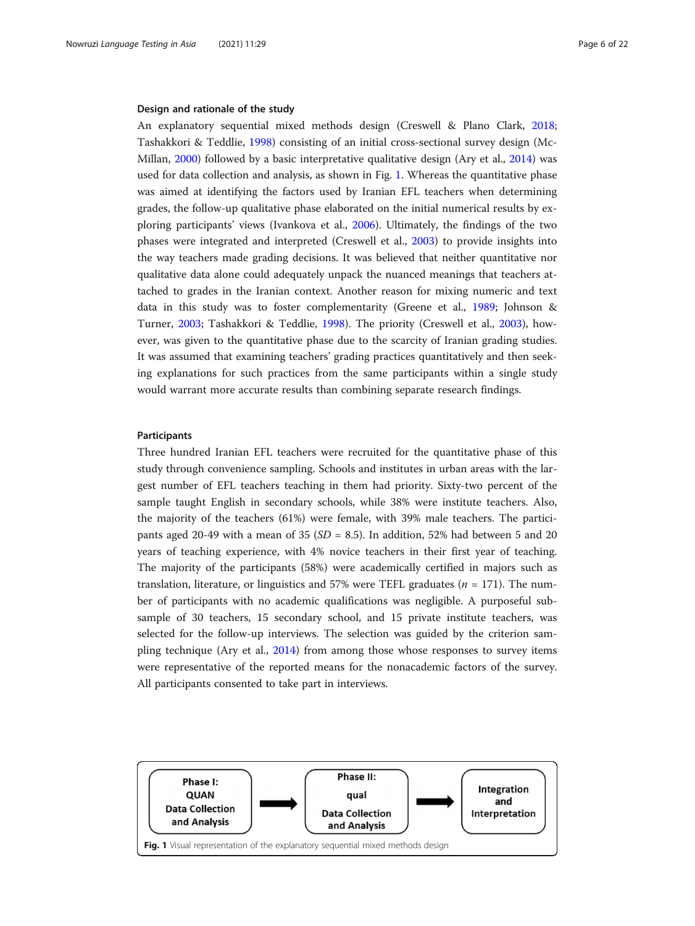#### Design and rationale of the study

An explanatory sequential mixed methods design (Creswell & Plano Clark, [2018](#page-20-0); Tashakkori & Teddlie, [1998](#page-21-0)) consisting of an initial cross-sectional survey design (Mc-Millan, [2000](#page-21-0)) followed by a basic interpretative qualitative design (Ary et al., [2014](#page-20-0)) was used for data collection and analysis, as shown in Fig. 1. Whereas the quantitative phase was aimed at identifying the factors used by Iranian EFL teachers when determining grades, the follow-up qualitative phase elaborated on the initial numerical results by exploring participants' views (Ivankova et al., [2006\)](#page-21-0). Ultimately, the findings of the two phases were integrated and interpreted (Creswell et al., [2003\)](#page-20-0) to provide insights into the way teachers made grading decisions. It was believed that neither quantitative nor qualitative data alone could adequately unpack the nuanced meanings that teachers attached to grades in the Iranian context. Another reason for mixing numeric and text data in this study was to foster complementarity (Greene et al., [1989;](#page-20-0) Johnson & Turner, [2003](#page-21-0); Tashakkori & Teddlie, [1998\)](#page-21-0). The priority (Creswell et al., [2003\)](#page-20-0), however, was given to the quantitative phase due to the scarcity of Iranian grading studies. It was assumed that examining teachers' grading practices quantitatively and then seeking explanations for such practices from the same participants within a single study would warrant more accurate results than combining separate research findings.

#### Participants

Three hundred Iranian EFL teachers were recruited for the quantitative phase of this study through convenience sampling. Schools and institutes in urban areas with the largest number of EFL teachers teaching in them had priority. Sixty-two percent of the sample taught English in secondary schools, while 38% were institute teachers. Also, the majority of the teachers (61%) were female, with 39% male teachers. The participants aged 20-49 with a mean of 35 ( $SD = 8.5$ ). In addition, 52% had between 5 and 20 years of teaching experience, with 4% novice teachers in their first year of teaching. The majority of the participants (58%) were academically certified in majors such as translation, literature, or linguistics and 57% were TEFL graduates  $(n = 171)$ . The number of participants with no academic qualifications was negligible. A purposeful subsample of 30 teachers, 15 secondary school, and 15 private institute teachers, was selected for the follow-up interviews. The selection was guided by the criterion sampling technique (Ary et al., [2014\)](#page-20-0) from among those whose responses to survey items were representative of the reported means for the nonacademic factors of the survey. All participants consented to take part in interviews.

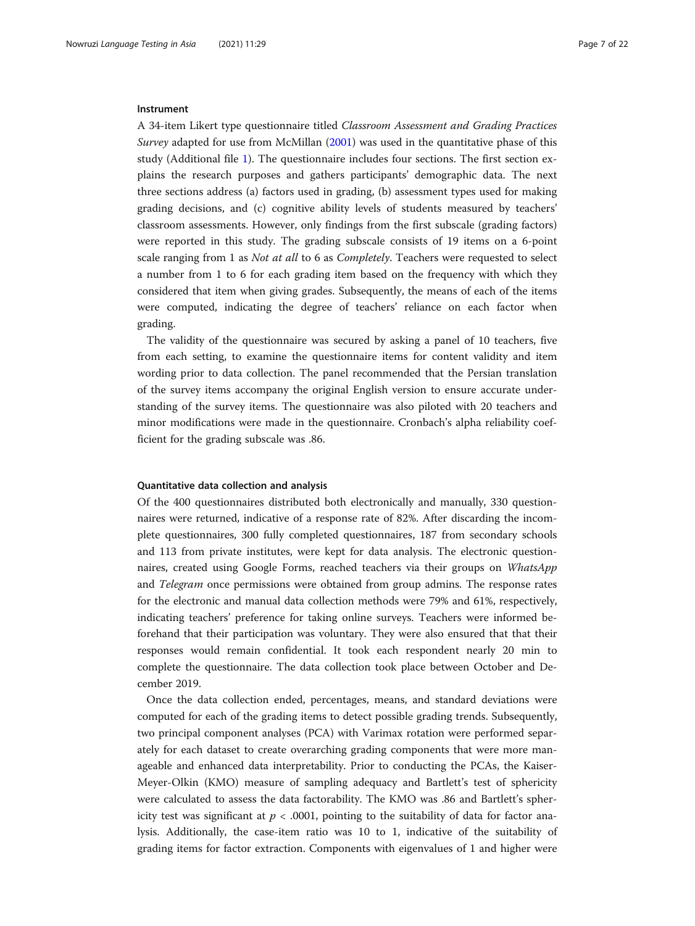#### **Instrument**

A 34-item Likert type questionnaire titled Classroom Assessment and Grading Practices Survey adapted for use from McMillan [\(2001](#page-21-0)) was used in the quantitative phase of this study (Additional file [1\)](#page-19-0). The questionnaire includes four sections. The first section explains the research purposes and gathers participants' demographic data. The next three sections address (a) factors used in grading, (b) assessment types used for making grading decisions, and (c) cognitive ability levels of students measured by teachers' classroom assessments. However, only findings from the first subscale (grading factors) were reported in this study. The grading subscale consists of 19 items on a 6-point scale ranging from 1 as Not at all to 6 as Completely. Teachers were requested to select a number from 1 to 6 for each grading item based on the frequency with which they considered that item when giving grades. Subsequently, the means of each of the items were computed, indicating the degree of teachers' reliance on each factor when grading.

The validity of the questionnaire was secured by asking a panel of 10 teachers, five from each setting, to examine the questionnaire items for content validity and item wording prior to data collection. The panel recommended that the Persian translation of the survey items accompany the original English version to ensure accurate understanding of the survey items. The questionnaire was also piloted with 20 teachers and minor modifications were made in the questionnaire. Cronbach's alpha reliability coefficient for the grading subscale was .86.

#### Quantitative data collection and analysis

Of the 400 questionnaires distributed both electronically and manually, 330 questionnaires were returned, indicative of a response rate of 82%. After discarding the incomplete questionnaires, 300 fully completed questionnaires, 187 from secondary schools and 113 from private institutes, were kept for data analysis. The electronic questionnaires, created using Google Forms, reached teachers via their groups on WhatsApp and Telegram once permissions were obtained from group admins. The response rates for the electronic and manual data collection methods were 79% and 61%, respectively, indicating teachers' preference for taking online surveys. Teachers were informed beforehand that their participation was voluntary. They were also ensured that that their responses would remain confidential. It took each respondent nearly 20 min to complete the questionnaire. The data collection took place between October and December 2019.

Once the data collection ended, percentages, means, and standard deviations were computed for each of the grading items to detect possible grading trends. Subsequently, two principal component analyses (PCA) with Varimax rotation were performed separately for each dataset to create overarching grading components that were more manageable and enhanced data interpretability. Prior to conducting the PCAs, the Kaiser-Meyer-Olkin (KMO) measure of sampling adequacy and Bartlett's test of sphericity were calculated to assess the data factorability. The KMO was .86 and Bartlett's sphericity test was significant at  $p < .0001$ , pointing to the suitability of data for factor analysis. Additionally, the case-item ratio was 10 to 1, indicative of the suitability of grading items for factor extraction. Components with eigenvalues of 1 and higher were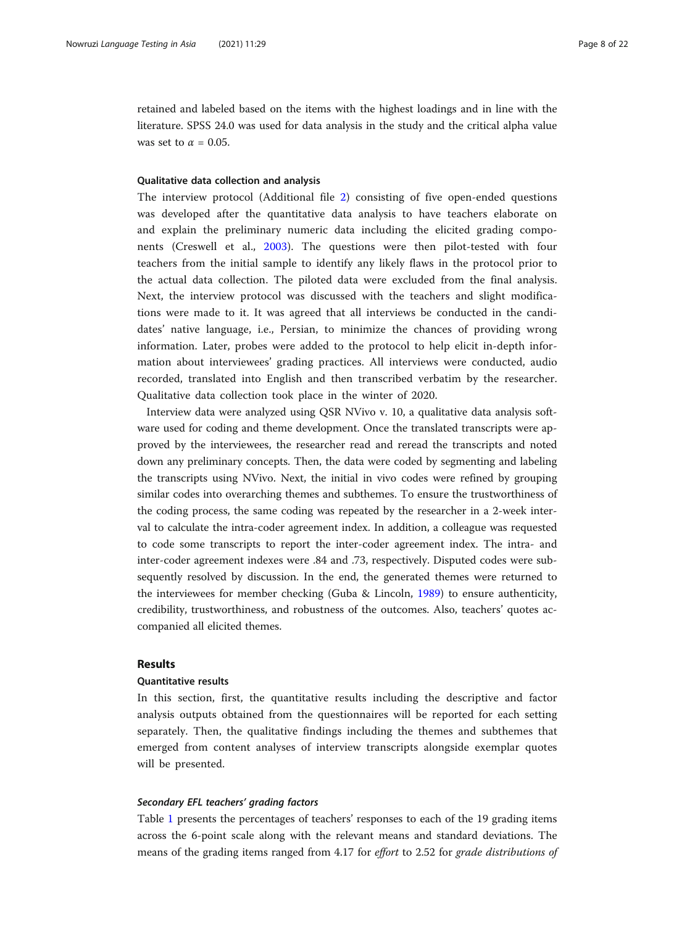retained and labeled based on the items with the highest loadings and in line with the literature. SPSS 24.0 was used for data analysis in the study and the critical alpha value was set to  $\alpha = 0.05$ .

#### Qualitative data collection and analysis

The interview protocol (Additional file [2\)](#page-19-0) consisting of five open-ended questions was developed after the quantitative data analysis to have teachers elaborate on and explain the preliminary numeric data including the elicited grading components (Creswell et al., [2003](#page-20-0)). The questions were then pilot-tested with four teachers from the initial sample to identify any likely flaws in the protocol prior to the actual data collection. The piloted data were excluded from the final analysis. Next, the interview protocol was discussed with the teachers and slight modifications were made to it. It was agreed that all interviews be conducted in the candidates' native language, i.e., Persian, to minimize the chances of providing wrong information. Later, probes were added to the protocol to help elicit in-depth information about interviewees' grading practices. All interviews were conducted, audio recorded, translated into English and then transcribed verbatim by the researcher. Qualitative data collection took place in the winter of 2020.

Interview data were analyzed using QSR NVivo v. 10, a qualitative data analysis software used for coding and theme development. Once the translated transcripts were approved by the interviewees, the researcher read and reread the transcripts and noted down any preliminary concepts. Then, the data were coded by segmenting and labeling the transcripts using NVivo. Next, the initial in vivo codes were refined by grouping similar codes into overarching themes and subthemes. To ensure the trustworthiness of the coding process, the same coding was repeated by the researcher in a 2-week interval to calculate the intra-coder agreement index. In addition, a colleague was requested to code some transcripts to report the inter-coder agreement index. The intra- and inter-coder agreement indexes were .84 and .73, respectively. Disputed codes were subsequently resolved by discussion. In the end, the generated themes were returned to the interviewees for member checking (Guba & Lincoln, [1989\)](#page-20-0) to ensure authenticity, credibility, trustworthiness, and robustness of the outcomes. Also, teachers' quotes accompanied all elicited themes.

### Results

#### Quantitative results

In this section, first, the quantitative results including the descriptive and factor analysis outputs obtained from the questionnaires will be reported for each setting separately. Then, the qualitative findings including the themes and subthemes that emerged from content analyses of interview transcripts alongside exemplar quotes will be presented.

#### Secondary EFL teachers' grading factors

Table [1](#page-8-0) presents the percentages of teachers' responses to each of the 19 grading items across the 6-point scale along with the relevant means and standard deviations. The means of the grading items ranged from 4.17 for effort to 2.52 for grade distributions of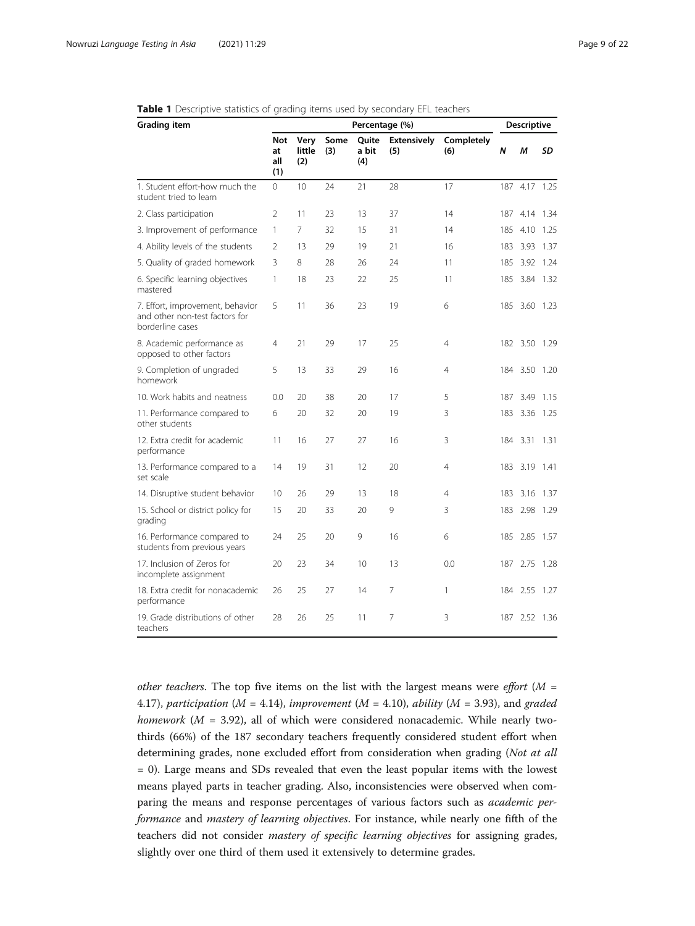| <b>Grading item</b>                                                                    | Percentage (%)          |                       |             |                       |                           |                   | <b>Descriptive</b> |               |           |
|----------------------------------------------------------------------------------------|-------------------------|-----------------------|-------------|-----------------------|---------------------------|-------------------|--------------------|---------------|-----------|
|                                                                                        | Not<br>at<br>all<br>(1) | Very<br>little<br>(2) | Some<br>(3) | Quite<br>a bit<br>(4) | <b>Extensively</b><br>(5) | Completely<br>(6) | $\boldsymbol{N}$   | M             | <b>SD</b> |
| 1. Student effort-how much the<br>student tried to learn                               | 0                       | 10                    | 24          | 21                    | 28                        | 17                |                    | 187 4.17 1.25 |           |
| 2. Class participation                                                                 | 2                       | 11                    | 23          | 13                    | 37                        | 14                |                    | 187 4.14 1.34 |           |
| 3. Improvement of performance                                                          | 1                       | 7                     | 32          | 15                    | 31                        | 14                | 185                | 4.10          | 1.25      |
| 4. Ability levels of the students                                                      | 2                       | 13                    | 29          | 19                    | 21                        | 16                | 183                | 3.93          | 1.37      |
| 5. Quality of graded homework                                                          | 3                       | 8                     | 28          | 26                    | 24                        | 11                | 185                | 3.92 1.24     |           |
| 6. Specific learning objectives<br>mastered                                            | 1                       | 18                    | 23          | 22                    | 25                        | 11                |                    | 185 3.84 1.32 |           |
| 7. Effort, improvement, behavior<br>and other non-test factors for<br>borderline cases | 5                       | 11                    | 36          | 23                    | 19                        | 6                 |                    | 185 3.60 1.23 |           |
| 8. Academic performance as<br>opposed to other factors                                 | 4                       | 21                    | 29          | 17                    | 25                        | $\overline{4}$    |                    | 182 3.50 1.29 |           |
| 9. Completion of ungraded<br>homework                                                  | 5                       | 13                    | 33          | 29                    | 16                        | 4                 |                    | 184 3.50 1.20 |           |
| 10. Work habits and neatness                                                           | 0.0                     | 20                    | 38          | 20                    | 17                        | 5                 | 187                | 3.49          | 1.15      |
| 11. Performance compared to<br>other students                                          | 6                       | 20                    | 32          | 20                    | 19                        | 3                 |                    | 183 3.36 1.25 |           |
| 12. Extra credit for academic<br>performance                                           | 11                      | 16                    | 27          | 27                    | 16                        | 3                 |                    | 184 3.31      | 1.31      |
| 13. Performance compared to a<br>set scale                                             | 14                      | 19                    | 31          | 12                    | 20                        | $\overline{4}$    |                    | 183 3.19 1.41 |           |
| 14. Disruptive student behavior                                                        | 10                      | 26                    | 29          | 13                    | 18                        | 4                 | 183                | 3.16          | -1.37     |
| 15. School or district policy for<br>grading                                           | 15                      | 20                    | 33          | 20                    | 9                         | 3                 | 183                | 2.98 1.29     |           |
| 16. Performance compared to<br>students from previous years                            | 24                      | 25                    | 20          | 9                     | 16                        | 6                 | 185                | 2.85          | 1.57      |
| 17. Inclusion of Zeros for<br>incomplete assignment                                    | 20                      | 23                    | 34          | 10                    | 13                        | 0.0               | 187                | 2.75          | 1.28      |
| 18. Extra credit for nonacademic<br>performance                                        | 26                      | 25                    | 27          | 14                    | 7                         | 1                 |                    | 184 2.55 1.27 |           |
| 19. Grade distributions of other<br>teachers                                           | 28                      | 26                    | 25          | 11                    | 7                         | 3                 |                    | 187 2.52 1.36 |           |

#### <span id="page-8-0"></span>Table 1 Descriptive statistics of grading items used by secondary EFL teachers

other teachers. The top five items on the list with the largest means were effort  $(M =$ 4.17), participation ( $M = 4.14$ ), improvement ( $M = 4.10$ ), ability ( $M = 3.93$ ), and graded homework ( $M = 3.92$ ), all of which were considered nonacademic. While nearly twothirds (66%) of the 187 secondary teachers frequently considered student effort when determining grades, none excluded effort from consideration when grading (Not at all = 0). Large means and SDs revealed that even the least popular items with the lowest means played parts in teacher grading. Also, inconsistencies were observed when comparing the means and response percentages of various factors such as academic performance and mastery of learning objectives. For instance, while nearly one fifth of the teachers did not consider mastery of specific learning objectives for assigning grades, slightly over one third of them used it extensively to determine grades.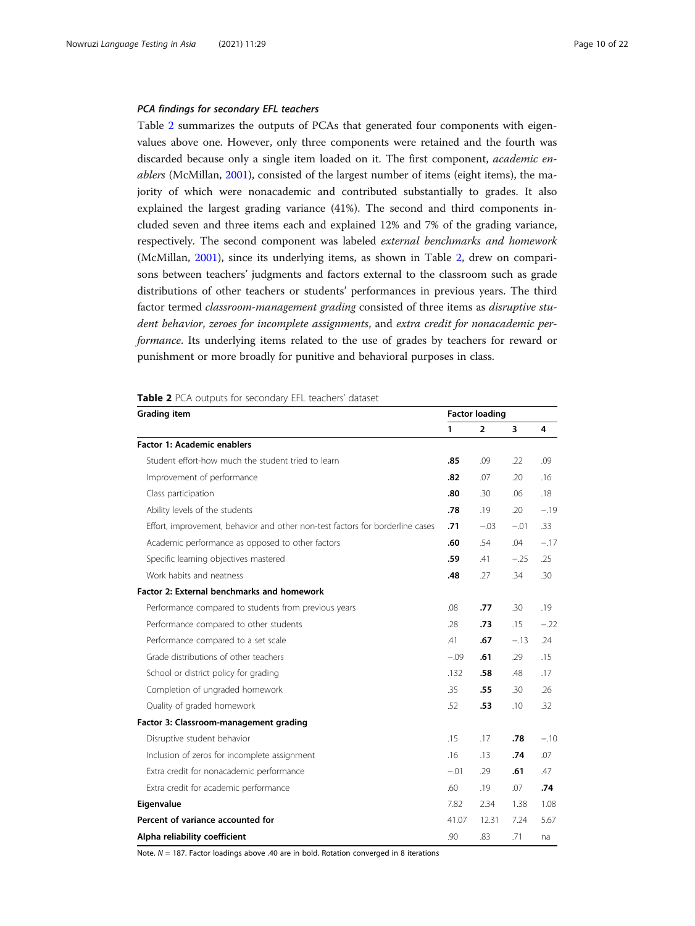#### PCA findings for secondary EFL teachers

Table 2 summarizes the outputs of PCAs that generated four components with eigenvalues above one. However, only three components were retained and the fourth was discarded because only a single item loaded on it. The first component, academic enablers (McMillan, [2001\)](#page-21-0), consisted of the largest number of items (eight items), the majority of which were nonacademic and contributed substantially to grades. It also explained the largest grading variance (41%). The second and third components included seven and three items each and explained 12% and 7% of the grading variance, respectively. The second component was labeled external benchmarks and homework (McMillan, [2001\)](#page-21-0), since its underlying items, as shown in Table 2, drew on comparisons between teachers' judgments and factors external to the classroom such as grade distributions of other teachers or students' performances in previous years. The third factor termed classroom-management grading consisted of three items as disruptive student behavior, zeroes for incomplete assignments, and extra credit for nonacademic performance. Its underlying items related to the use of grades by teachers for reward or punishment or more broadly for punitive and behavioral purposes in class.

#### Table 2 PCA outputs for secondary EFL teachers' dataset

| <b>Grading item</b>                                                           |              | <b>Factor loading</b> |        |        |  |  |
|-------------------------------------------------------------------------------|--------------|-----------------------|--------|--------|--|--|
|                                                                               | $\mathbf{1}$ | $\overline{2}$        | 3      | 4      |  |  |
| Factor 1: Academic enablers                                                   |              |                       |        |        |  |  |
| Student effort-how much the student tried to learn                            | .85          | .09                   | .22    | .09    |  |  |
| Improvement of performance                                                    | .82          | .07                   | .20    | .16    |  |  |
| Class participation                                                           | .80          | .30                   | .06    | .18    |  |  |
| Ability levels of the students                                                | .78          | .19                   | .20    | $-.19$ |  |  |
| Effort, improvement, behavior and other non-test factors for borderline cases | .71          | $-.03$                | $-.01$ | .33    |  |  |
| Academic performance as opposed to other factors                              | .60          | .54                   | .04    | $-.17$ |  |  |
| Specific learning objectives mastered                                         | .59          | .41                   | $-25$  | .25    |  |  |
| Work habits and neatness                                                      | .48          | .27                   | .34    | .30    |  |  |
| Factor 2: External benchmarks and homework                                    |              |                       |        |        |  |  |
| Performance compared to students from previous years                          | .08          | .77                   | .30    | .19    |  |  |
| Performance compared to other students                                        | .28          | .73                   | .15    | $-.22$ |  |  |
| Performance compared to a set scale                                           | .41          | .67                   | $-.13$ | .24    |  |  |
| Grade distributions of other teachers                                         | $-.09$       | .61                   | .29    | .15    |  |  |
| School or district policy for grading                                         | .132         | .58                   | .48    | .17    |  |  |
| Completion of ungraded homework                                               | .35          | .55                   | .30    | .26    |  |  |
| Quality of graded homework                                                    | .52          | .53                   | .10    | .32    |  |  |
| Factor 3: Classroom-management grading                                        |              |                       |        |        |  |  |
| Disruptive student behavior                                                   | .15          | .17                   | .78    | $-.10$ |  |  |
| Inclusion of zeros for incomplete assignment                                  | .16          | .13                   | .74    | .07    |  |  |
| Extra credit for nonacademic performance                                      | $-.01$       | .29                   | .61    | .47    |  |  |
| Extra credit for academic performance                                         | .60          | .19                   | .07    | .74    |  |  |
| Eigenvalue                                                                    | 7.82         | 2.34                  | 1.38   | 1.08   |  |  |
| Percent of variance accounted for                                             | 41.07        | 12.31                 | 7.24   | 5.67   |  |  |
| Alpha reliability coefficient                                                 | .90          | .83                   | .71    | na     |  |  |

Note.  $N = 187$ . Factor loadings above .40 are in bold. Rotation converged in 8 iterations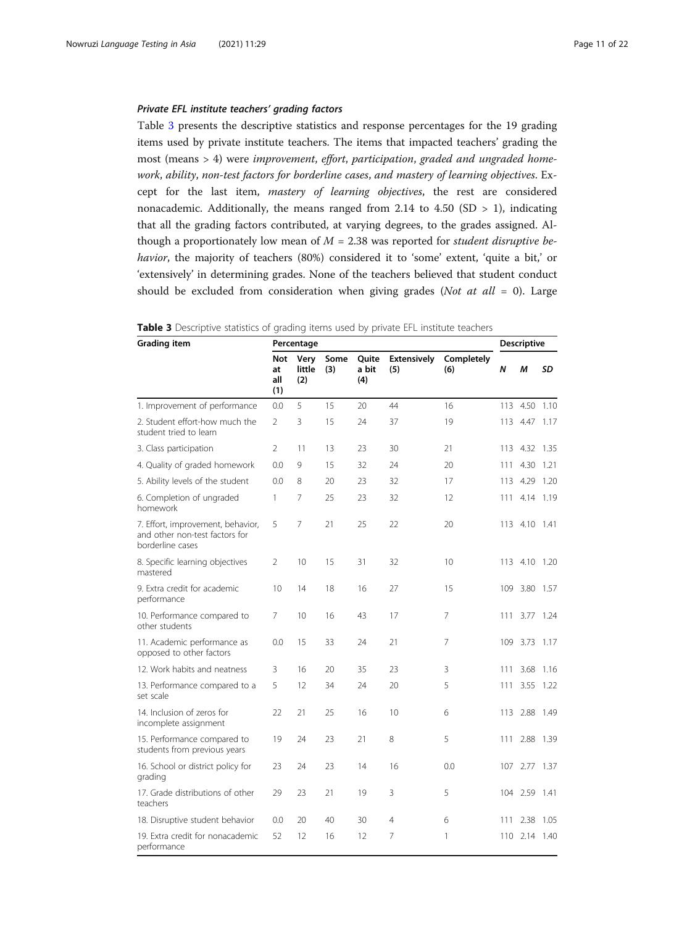#### Private EFL institute teachers' grading factors

Table 3 presents the descriptive statistics and response percentages for the 19 grading items used by private institute teachers. The items that impacted teachers' grading the most (means > 4) were improvement, effort, participation, graded and ungraded homework, ability, non-test factors for borderline cases, and mastery of learning objectives. Except for the last item, mastery of learning objectives, the rest are considered nonacademic. Additionally, the means ranged from 2.14 to 4.50 (SD  $> 1$ ), indicating that all the grading factors contributed, at varying degrees, to the grades assigned. Although a proportionately low mean of  $M = 2.38$  was reported for student disruptive behavior, the majority of teachers (80%) considered it to 'some' extent, 'quite a bit,' or 'extensively' in determining grades. None of the teachers believed that student conduct should be excluded from consideration when giving grades (Not at all = 0). Large

| <b>Grading item</b>                                                                     | Percentage                     |                       |             |                       |                           |                   | <b>Descriptive</b> |               |       |
|-----------------------------------------------------------------------------------------|--------------------------------|-----------------------|-------------|-----------------------|---------------------------|-------------------|--------------------|---------------|-------|
|                                                                                         | <b>Not</b><br>at<br>all<br>(1) | Very<br>little<br>(2) | Some<br>(3) | Quite<br>a bit<br>(4) | <b>Extensively</b><br>(5) | Completely<br>(6) | N                  | M             | SD    |
| 1. Improvement of performance                                                           | 0.0                            | 5                     | 15          | 20                    | 44                        | 16                | 113                | 4.50          | 1.10  |
| 2. Student effort-how much the<br>student tried to learn                                | $\overline{2}$                 | 3                     | 15          | 24                    | 37                        | 19                |                    | 113 4.47 1.17 |       |
| 3. Class participation                                                                  | $\overline{2}$                 | 11                    | 13          | 23                    | 30                        | 21                | 113                | 4.32          | 1.35  |
| 4. Quality of graded homework                                                           | 0.0                            | 9                     | 15          | 32                    | 24                        | 20                |                    | 111 4.30      | 1.21  |
| 5. Ability levels of the student                                                        | 0.0                            | 8                     | 20          | 23                    | 32                        | 17                |                    | 113 4.29      | 1.20  |
| 6. Completion of ungraded<br>homework                                                   | $\mathbf{1}$                   | 7                     | 25          | 23                    | 32                        | 12                |                    | 111 4.14 1.19 |       |
| 7. Effort, improvement, behavior,<br>and other non-test factors for<br>borderline cases | 5                              | 7                     | 21          | 25                    | 22                        | 20                |                    | 113 4.10 1.41 |       |
| 8. Specific learning objectives<br>mastered                                             | 2                              | 10                    | 15          | 31                    | 32                        | 10                |                    | 113 4.10 1.20 |       |
| 9. Extra credit for academic<br>performance                                             | 10                             | 14                    | 18          | 16                    | 27                        | 15                |                    | 109 3.80      | -1.57 |
| 10. Performance compared to<br>other students                                           | 7                              | 10                    | 16          | 43                    | 17                        | 7                 | 111                | 3.77          | 1.24  |
| 11. Academic performance as<br>opposed to other factors                                 | 0.0                            | 15                    | 33          | 24                    | 21                        | 7                 |                    | 109 3.73 1.17 |       |
| 12. Work habits and neatness                                                            | 3                              | 16                    | 20          | 35                    | 23                        | 3                 | 111                | 3.68          | 1.16  |
| 13. Performance compared to a<br>set scale                                              | 5                              | 12                    | 34          | 24                    | 20                        | 5                 | 111                | 3.55          | 1.22  |
| 14. Inclusion of zeros for<br>incomplete assignment                                     | 22                             | 21                    | 25          | 16                    | 10                        | 6                 | 113                | 2.88          | 1.49  |
| 15. Performance compared to<br>students from previous years                             | 19                             | 24                    | 23          | 21                    | 8                         | 5                 | 111                | 2.88 1.39     |       |
| 16. School or district policy for<br>grading                                            | 23                             | 24                    | 23          | 14                    | 16                        | 0.0               |                    | 107 2.77 1.37 |       |
| 17. Grade distributions of other<br>teachers                                            | 29                             | 23                    | 21          | 19                    | 3                         | 5                 |                    | 104 2.59 1.41 |       |
| 18. Disruptive student behavior                                                         | 0.0                            | 20                    | 40          | 30                    | $\overline{4}$            | 6                 | 111                | 2.38          | -1.05 |
| 19. Extra credit for nonacademic<br>performance                                         | 52                             | 12                    | 16          | 12                    | 7                         | 1                 |                    | 110 2.14 1.40 |       |

|  |  | <b>Table 3</b> Descriptive statistics of grading items used by private EFL institute teachers |
|--|--|-----------------------------------------------------------------------------------------------|
|--|--|-----------------------------------------------------------------------------------------------|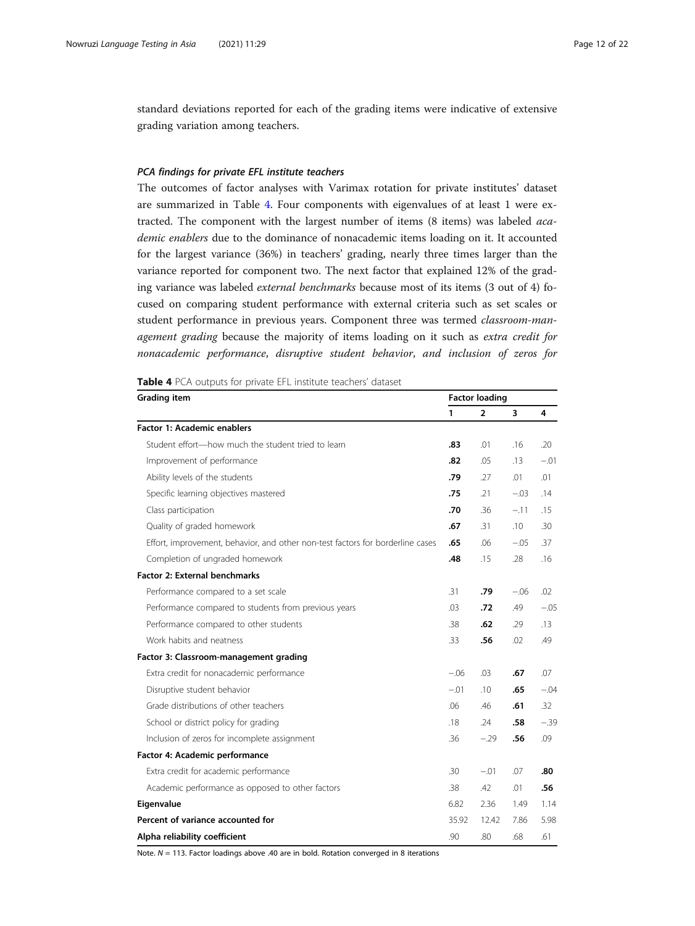standard deviations reported for each of the grading items were indicative of extensive grading variation among teachers.

#### PCA findings for private EFL institute teachers

The outcomes of factor analyses with Varimax rotation for private institutes' dataset are summarized in Table 4. Four components with eigenvalues of at least 1 were extracted. The component with the largest number of items (8 items) was labeled academic enablers due to the dominance of nonacademic items loading on it. It accounted for the largest variance (36%) in teachers' grading, nearly three times larger than the variance reported for component two. The next factor that explained 12% of the grading variance was labeled external benchmarks because most of its items (3 out of 4) focused on comparing student performance with external criteria such as set scales or student performance in previous years. Component three was termed *classroom-man*agement grading because the majority of items loading on it such as extra credit for nonacademic performance, disruptive student behavior, and inclusion of zeros for

Table 4 PCA outputs for private EFL institute teachers' dataset

| <b>Grading item</b>                                                            |        | <b>Factor loading</b> |        |        |  |  |
|--------------------------------------------------------------------------------|--------|-----------------------|--------|--------|--|--|
|                                                                                | 1      | $\overline{2}$        | 3      | 4      |  |  |
| <b>Factor 1: Academic enablers</b>                                             |        |                       |        |        |  |  |
| Student effort-how much the student tried to learn                             | .83    | .01                   | .16    | .20    |  |  |
| Improvement of performance                                                     | .82    | .05                   | .13    | $-.01$ |  |  |
| Ability levels of the students                                                 | .79    | .27                   | .01    | .01    |  |  |
| Specific learning objectives mastered                                          | .75    | .21                   | $-.03$ | .14    |  |  |
| Class participation                                                            | .70    | .36                   | $-.11$ | .15    |  |  |
| Quality of graded homework                                                     | .67    | .31                   | .10    | .30    |  |  |
| Effort, improvement, behavior, and other non-test factors for borderline cases | .65    | .06                   | $-.05$ | .37    |  |  |
| Completion of ungraded homework                                                | .48    | .15                   | .28    | .16    |  |  |
| <b>Factor 2: External benchmarks</b>                                           |        |                       |        |        |  |  |
| Performance compared to a set scale                                            | .31    | .79                   | $-.06$ | .02    |  |  |
| Performance compared to students from previous years                           | .03    | .72                   | .49    | $-.05$ |  |  |
| Performance compared to other students                                         | .38    | .62                   | .29    | .13    |  |  |
| Work habits and neatness                                                       | .33    | .56                   | .02    | .49    |  |  |
| Factor 3: Classroom-management grading                                         |        |                       |        |        |  |  |
| Extra credit for nonacademic performance                                       | $-.06$ | .03                   | .67    | .07    |  |  |
| Disruptive student behavior                                                    | $-.01$ | .10                   | .65    | $-.04$ |  |  |
| Grade distributions of other teachers                                          | .06    | .46                   | .61    | .32    |  |  |
| School or district policy for grading                                          | .18    | .24                   | .58    | $-.39$ |  |  |
| Inclusion of zeros for incomplete assignment                                   | .36    | $-.29$                | .56    | .09    |  |  |
| Factor 4: Academic performance                                                 |        |                       |        |        |  |  |
| Extra credit for academic performance                                          | .30    | $-.01$                | .07    | .80    |  |  |
| Academic performance as opposed to other factors                               | .38    | .42                   | .01    | .56    |  |  |
| Eigenvalue                                                                     | 6.82   | 2.36                  | 1.49   | 1.14   |  |  |
| Percent of variance accounted for                                              | 35.92  | 12.42                 | 7.86   | 5.98   |  |  |
| Alpha reliability coefficient                                                  | .90    | .80                   | .68    | .61    |  |  |

Note.  $N = 113$ . Factor loadings above .40 are in bold. Rotation converged in 8 iterations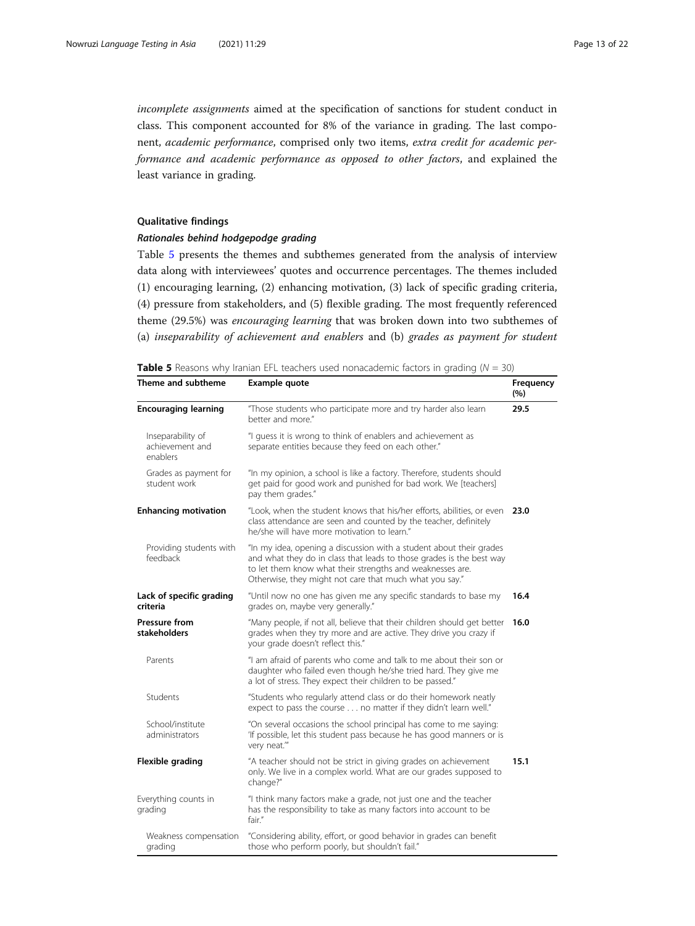<span id="page-12-0"></span>incomplete assignments aimed at the specification of sanctions for student conduct in class. This component accounted for 8% of the variance in grading. The last component, academic performance, comprised only two items, extra credit for academic performance and academic performance as opposed to other factors, and explained the least variance in grading.

#### Qualitative findings

#### Rationales behind hodgepodge grading

Table 5 presents the themes and subthemes generated from the analysis of interview data along with interviewees' quotes and occurrence percentages. The themes included (1) encouraging learning, (2) enhancing motivation, (3) lack of specific grading criteria, (4) pressure from stakeholders, and (5) flexible grading. The most frequently referenced theme (29.5%) was encouraging learning that was broken down into two subthemes of (a) inseparability of achievement and enablers and (b) grades as payment for student

**Table 5** Reasons why Iranian EFL teachers used nonacademic factors in grading ( $N = 30$ )

| Theme and subtheme                               | Example quote                                                                                                                                                                                                                                                       |      |  |  |  |
|--------------------------------------------------|---------------------------------------------------------------------------------------------------------------------------------------------------------------------------------------------------------------------------------------------------------------------|------|--|--|--|
| <b>Encouraging learning</b>                      | "Those students who participate more and try harder also learn<br>better and more."                                                                                                                                                                                 | 29.5 |  |  |  |
| Inseparability of<br>achievement and<br>enablers | "I guess it is wrong to think of enablers and achievement as<br>separate entities because they feed on each other."                                                                                                                                                 |      |  |  |  |
| Grades as payment for<br>student work            | "In my opinion, a school is like a factory. Therefore, students should<br>get paid for good work and punished for bad work. We [teachers]<br>pay them grades."                                                                                                      |      |  |  |  |
| <b>Enhancing motivation</b>                      | "Look, when the student knows that his/her efforts, abilities, or even<br>class attendance are seen and counted by the teacher, definitely<br>he/she will have more motivation to learn."                                                                           | 23.0 |  |  |  |
| Providing students with<br>feedback              | "In my idea, opening a discussion with a student about their grades<br>and what they do in class that leads to those grades is the best way<br>to let them know what their strengths and weaknesses are.<br>Otherwise, they might not care that much what you say." |      |  |  |  |
| Lack of specific grading<br>criteria             | "Until now no one has given me any specific standards to base my<br>grades on, maybe very generally."                                                                                                                                                               | 16.4 |  |  |  |
| <b>Pressure from</b><br><b>stakeholders</b>      | "Many people, if not all, believe that their children should get better<br>grades when they try more and are active. They drive you crazy if<br>your grade doesn't reflect this."                                                                                   | 16.0 |  |  |  |
| Parents                                          | "I am afraid of parents who come and talk to me about their son or<br>daughter who failed even though he/she tried hard. They give me<br>a lot of stress. They expect their children to be passed."                                                                 |      |  |  |  |
| Students                                         | "Students who regularly attend class or do their homework neatly<br>expect to pass the course no matter if they didn't learn well."                                                                                                                                 |      |  |  |  |
| School/institute<br>administrators               | "On several occasions the school principal has come to me saying:<br>'If possible, let this student pass because he has good manners or is<br>very neat.""                                                                                                          |      |  |  |  |
| Flexible grading                                 | "A teacher should not be strict in giving grades on achievement<br>only. We live in a complex world. What are our grades supposed to<br>change?"                                                                                                                    | 15.1 |  |  |  |
| Everything counts in<br>grading                  | "I think many factors make a grade, not just one and the teacher<br>has the responsibility to take as many factors into account to be<br>fair."                                                                                                                     |      |  |  |  |
| Weakness compensation<br>grading                 | "Considering ability, effort, or good behavior in grades can benefit<br>those who perform poorly, but shouldn't fail."                                                                                                                                              |      |  |  |  |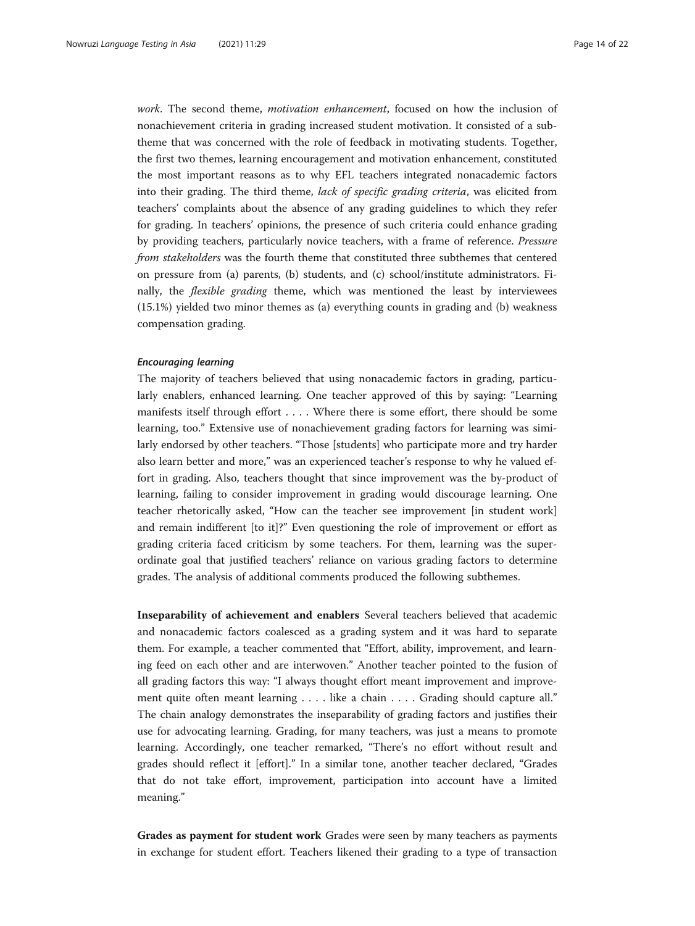work. The second theme, *motivation enhancement*, focused on how the inclusion of nonachievement criteria in grading increased student motivation. It consisted of a subtheme that was concerned with the role of feedback in motivating students. Together, the first two themes, learning encouragement and motivation enhancement, constituted the most important reasons as to why EFL teachers integrated nonacademic factors into their grading. The third theme, lack of specific grading criteria, was elicited from teachers' complaints about the absence of any grading guidelines to which they refer for grading. In teachers' opinions, the presence of such criteria could enhance grading by providing teachers, particularly novice teachers, with a frame of reference. Pressure from stakeholders was the fourth theme that constituted three subthemes that centered on pressure from (a) parents, (b) students, and (c) school/institute administrators. Finally, the flexible grading theme, which was mentioned the least by interviewees (15.1%) yielded two minor themes as (a) everything counts in grading and (b) weakness compensation grading.

#### Encouraging learning

The majority of teachers believed that using nonacademic factors in grading, particularly enablers, enhanced learning. One teacher approved of this by saying: "Learning manifests itself through effort . . . . Where there is some effort, there should be some learning, too." Extensive use of nonachievement grading factors for learning was similarly endorsed by other teachers. "Those [students] who participate more and try harder also learn better and more," was an experienced teacher's response to why he valued effort in grading. Also, teachers thought that since improvement was the by-product of learning, failing to consider improvement in grading would discourage learning. One teacher rhetorically asked, "How can the teacher see improvement [in student work] and remain indifferent [to it]?" Even questioning the role of improvement or effort as grading criteria faced criticism by some teachers. For them, learning was the superordinate goal that justified teachers' reliance on various grading factors to determine grades. The analysis of additional comments produced the following subthemes.

Inseparability of achievement and enablers Several teachers believed that academic and nonacademic factors coalesced as a grading system and it was hard to separate them. For example, a teacher commented that "Effort, ability, improvement, and learning feed on each other and are interwoven." Another teacher pointed to the fusion of all grading factors this way: "I always thought effort meant improvement and improvement quite often meant learning . . . . like a chain . . . . Grading should capture all." The chain analogy demonstrates the inseparability of grading factors and justifies their use for advocating learning. Grading, for many teachers, was just a means to promote learning. Accordingly, one teacher remarked, "There's no effort without result and grades should reflect it [effort]." In a similar tone, another teacher declared, "Grades that do not take effort, improvement, participation into account have a limited meaning."

Grades as payment for student work Grades were seen by many teachers as payments in exchange for student effort. Teachers likened their grading to a type of transaction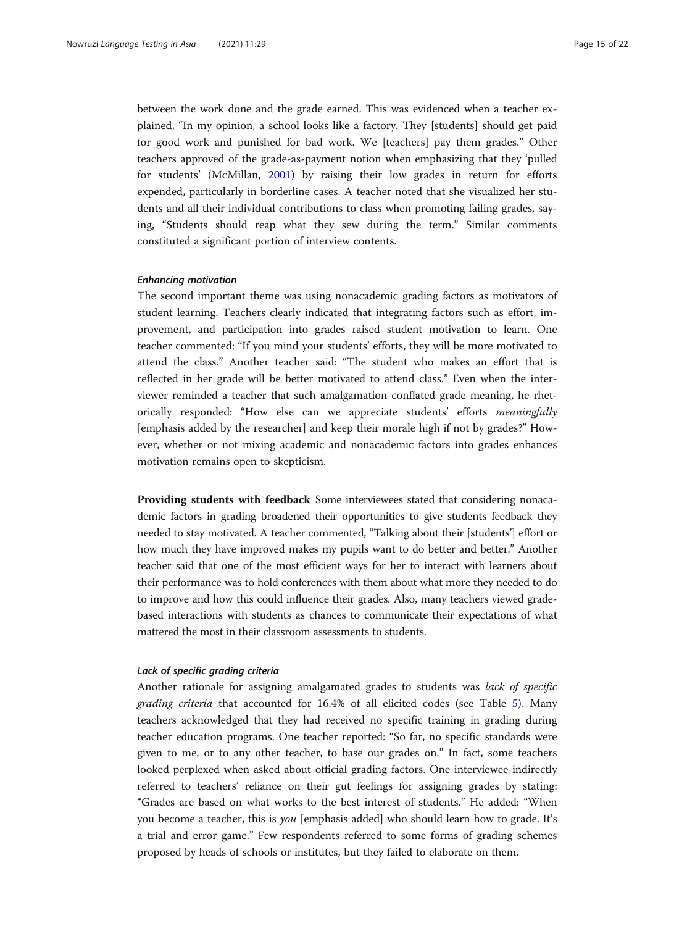between the work done and the grade earned. This was evidenced when a teacher explained, "In my opinion, a school looks like a factory. They [students] should get paid for good work and punished for bad work. We [teachers] pay them grades." Other teachers approved of the grade-as-payment notion when emphasizing that they 'pulled for students' (McMillan, [2001\)](#page-21-0) by raising their low grades in return for efforts expended, particularly in borderline cases. A teacher noted that she visualized her students and all their individual contributions to class when promoting failing grades, saying, "Students should reap what they sew during the term." Similar comments constituted a significant portion of interview contents.

#### Enhancing motivation

The second important theme was using nonacademic grading factors as motivators of student learning. Teachers clearly indicated that integrating factors such as effort, improvement, and participation into grades raised student motivation to learn. One teacher commented: "If you mind your students' efforts, they will be more motivated to attend the class." Another teacher said: "The student who makes an effort that is reflected in her grade will be better motivated to attend class." Even when the interviewer reminded a teacher that such amalgamation conflated grade meaning, he rhetorically responded: "How else can we appreciate students' efforts meaningfully [emphasis added by the researcher] and keep their morale high if not by grades?" However, whether or not mixing academic and nonacademic factors into grades enhances motivation remains open to skepticism.

Providing students with feedback Some interviewees stated that considering nonacademic factors in grading broadened their opportunities to give students feedback they needed to stay motivated. A teacher commented, "Talking about their [students'] effort or how much they have improved makes my pupils want to do better and better." Another teacher said that one of the most efficient ways for her to interact with learners about their performance was to hold conferences with them about what more they needed to do to improve and how this could influence their grades. Also, many teachers viewed gradebased interactions with students as chances to communicate their expectations of what mattered the most in their classroom assessments to students.

#### Lack of specific grading criteria

Another rationale for assigning amalgamated grades to students was lack of specific grading criteria that accounted for 16.4% of all elicited codes (see Table [5](#page-12-0)). Many teachers acknowledged that they had received no specific training in grading during teacher education programs. One teacher reported: "So far, no specific standards were given to me, or to any other teacher, to base our grades on." In fact, some teachers looked perplexed when asked about official grading factors. One interviewee indirectly referred to teachers' reliance on their gut feelings for assigning grades by stating: "Grades are based on what works to the best interest of students." He added: "When you become a teacher, this is *you* [emphasis added] who should learn how to grade. It's a trial and error game." Few respondents referred to some forms of grading schemes proposed by heads of schools or institutes, but they failed to elaborate on them.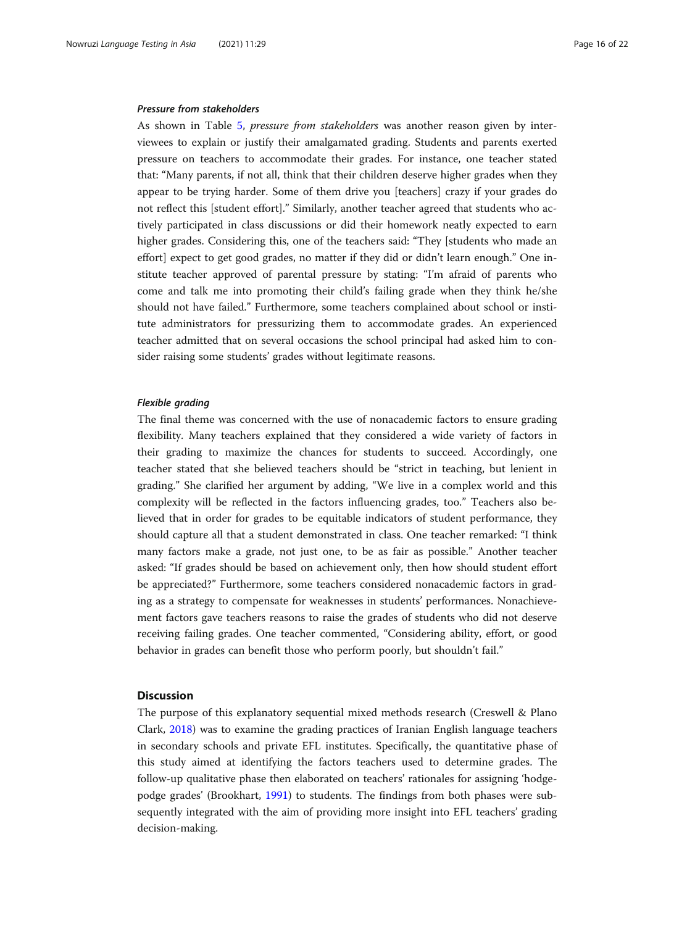#### Pressure from stakeholders

As shown in Table [5](#page-12-0), pressure from stakeholders was another reason given by interviewees to explain or justify their amalgamated grading. Students and parents exerted pressure on teachers to accommodate their grades. For instance, one teacher stated that: "Many parents, if not all, think that their children deserve higher grades when they appear to be trying harder. Some of them drive you [teachers] crazy if your grades do not reflect this [student effort]." Similarly, another teacher agreed that students who actively participated in class discussions or did their homework neatly expected to earn higher grades. Considering this, one of the teachers said: "They [students who made an effort] expect to get good grades, no matter if they did or didn't learn enough." One institute teacher approved of parental pressure by stating: "I'm afraid of parents who come and talk me into promoting their child's failing grade when they think he/she should not have failed." Furthermore, some teachers complained about school or institute administrators for pressurizing them to accommodate grades. An experienced teacher admitted that on several occasions the school principal had asked him to consider raising some students' grades without legitimate reasons.

#### Flexible grading

The final theme was concerned with the use of nonacademic factors to ensure grading flexibility. Many teachers explained that they considered a wide variety of factors in their grading to maximize the chances for students to succeed. Accordingly, one teacher stated that she believed teachers should be "strict in teaching, but lenient in grading." She clarified her argument by adding, "We live in a complex world and this complexity will be reflected in the factors influencing grades, too." Teachers also believed that in order for grades to be equitable indicators of student performance, they should capture all that a student demonstrated in class. One teacher remarked: "I think many factors make a grade, not just one, to be as fair as possible." Another teacher asked: "If grades should be based on achievement only, then how should student effort be appreciated?" Furthermore, some teachers considered nonacademic factors in grading as a strategy to compensate for weaknesses in students' performances. Nonachievement factors gave teachers reasons to raise the grades of students who did not deserve receiving failing grades. One teacher commented, "Considering ability, effort, or good behavior in grades can benefit those who perform poorly, but shouldn't fail."

#### **Discussion**

The purpose of this explanatory sequential mixed methods research (Creswell & Plano Clark, [2018\)](#page-20-0) was to examine the grading practices of Iranian English language teachers in secondary schools and private EFL institutes. Specifically, the quantitative phase of this study aimed at identifying the factors teachers used to determine grades. The follow-up qualitative phase then elaborated on teachers' rationales for assigning 'hodgepodge grades' (Brookhart, [1991](#page-20-0)) to students. The findings from both phases were subsequently integrated with the aim of providing more insight into EFL teachers' grading decision-making.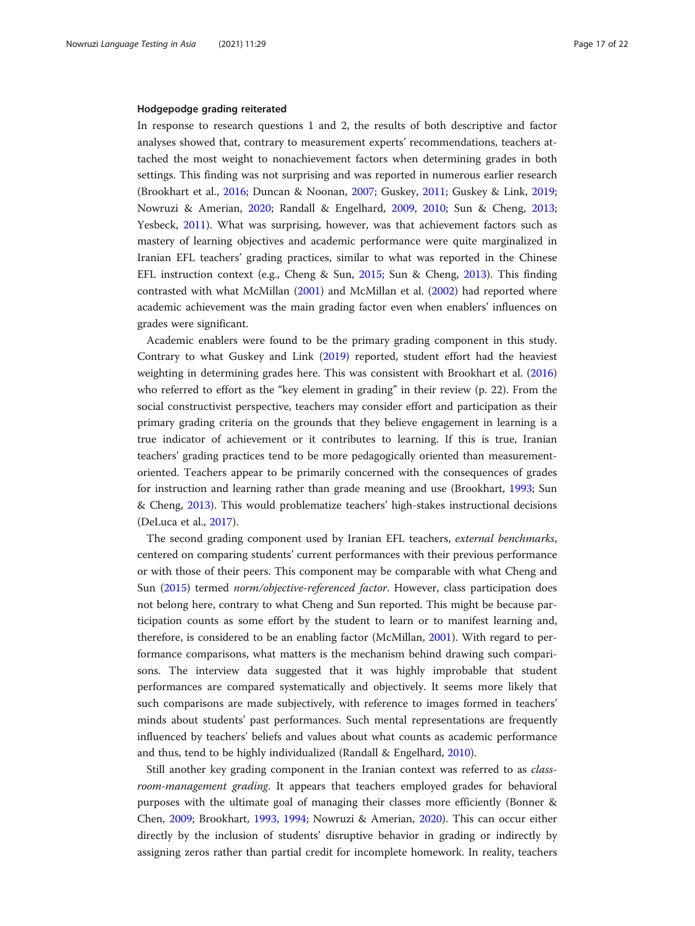#### Hodgepodge grading reiterated

In response to research questions 1 and 2, the results of both descriptive and factor analyses showed that, contrary to measurement experts' recommendations, teachers attached the most weight to nonachievement factors when determining grades in both settings. This finding was not surprising and was reported in numerous earlier research (Brookhart et al., [2016;](#page-20-0) Duncan & Noonan, [2007;](#page-20-0) Guskey, [2011;](#page-20-0) Guskey & Link, [2019](#page-21-0); Nowruzi & Amerian, [2020](#page-21-0); Randall & Engelhard, [2009](#page-21-0), [2010](#page-21-0); Sun & Cheng, [2013](#page-21-0); Yesbeck, [2011\)](#page-21-0). What was surprising, however, was that achievement factors such as mastery of learning objectives and academic performance were quite marginalized in Iranian EFL teachers' grading practices, similar to what was reported in the Chinese EFL instruction context (e.g., Cheng & Sun, [2015](#page-20-0); Sun & Cheng, [2013](#page-21-0)). This finding contrasted with what McMillan [\(2001\)](#page-21-0) and McMillan et al. [\(2002\)](#page-21-0) had reported where academic achievement was the main grading factor even when enablers' influences on grades were significant.

Academic enablers were found to be the primary grading component in this study. Contrary to what Guskey and Link ([2019\)](#page-21-0) reported, student effort had the heaviest weighting in determining grades here. This was consistent with Brookhart et al. ([2016](#page-20-0)) who referred to effort as the "key element in grading" in their review (p. 22). From the social constructivist perspective, teachers may consider effort and participation as their primary grading criteria on the grounds that they believe engagement in learning is a true indicator of achievement or it contributes to learning. If this is true, Iranian teachers' grading practices tend to be more pedagogically oriented than measurementoriented. Teachers appear to be primarily concerned with the consequences of grades for instruction and learning rather than grade meaning and use (Brookhart, [1993](#page-20-0); Sun & Cheng, [2013](#page-21-0)). This would problematize teachers' high-stakes instructional decisions (DeLuca et al., [2017](#page-20-0)).

The second grading component used by Iranian EFL teachers, external benchmarks, centered on comparing students' current performances with their previous performance or with those of their peers. This component may be comparable with what Cheng and Sun ([2015](#page-20-0)) termed norm/objective-referenced factor. However, class participation does not belong here, contrary to what Cheng and Sun reported. This might be because participation counts as some effort by the student to learn or to manifest learning and, therefore, is considered to be an enabling factor (McMillan, [2001](#page-21-0)). With regard to performance comparisons, what matters is the mechanism behind drawing such comparisons. The interview data suggested that it was highly improbable that student performances are compared systematically and objectively. It seems more likely that such comparisons are made subjectively, with reference to images formed in teachers' minds about students' past performances. Such mental representations are frequently influenced by teachers' beliefs and values about what counts as academic performance and thus, tend to be highly individualized (Randall & Engelhard, [2010](#page-21-0)).

Still another key grading component in the Iranian context was referred to as classroom-management grading. It appears that teachers employed grades for behavioral purposes with the ultimate goal of managing their classes more efficiently (Bonner & Chen, [2009;](#page-20-0) Brookhart, [1993](#page-20-0), [1994;](#page-20-0) Nowruzi & Amerian, [2020\)](#page-21-0). This can occur either directly by the inclusion of students' disruptive behavior in grading or indirectly by assigning zeros rather than partial credit for incomplete homework. In reality, teachers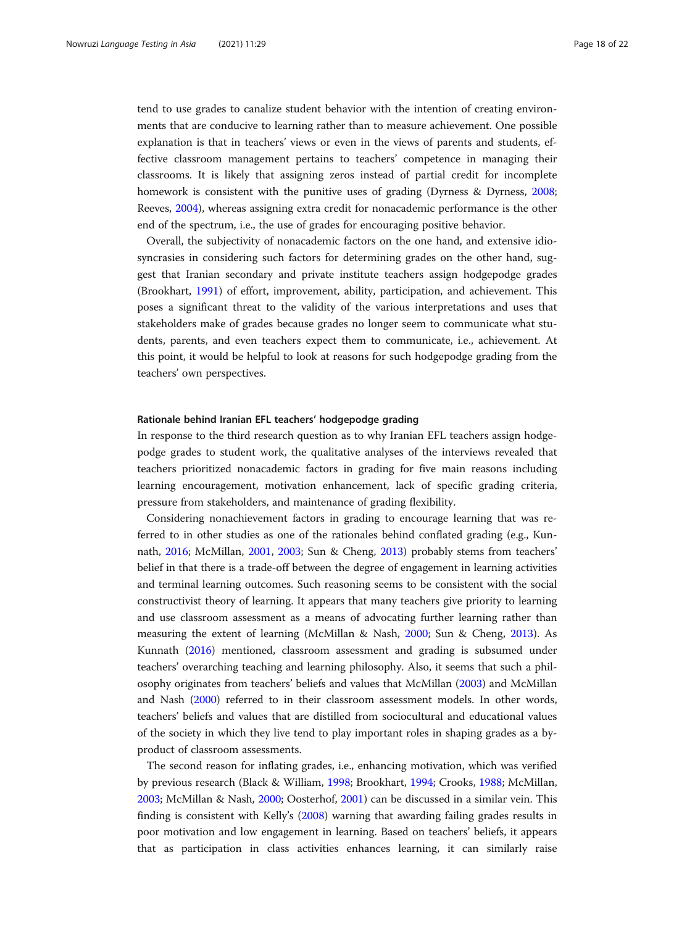tend to use grades to canalize student behavior with the intention of creating environments that are conducive to learning rather than to measure achievement. One possible explanation is that in teachers' views or even in the views of parents and students, effective classroom management pertains to teachers' competence in managing their classrooms. It is likely that assigning zeros instead of partial credit for incomplete homework is consistent with the punitive uses of grading (Dyrness & Dyrness, [2008](#page-20-0); Reeves, [2004\)](#page-21-0), whereas assigning extra credit for nonacademic performance is the other end of the spectrum, i.e., the use of grades for encouraging positive behavior.

Overall, the subjectivity of nonacademic factors on the one hand, and extensive idiosyncrasies in considering such factors for determining grades on the other hand, suggest that Iranian secondary and private institute teachers assign hodgepodge grades (Brookhart, [1991\)](#page-20-0) of effort, improvement, ability, participation, and achievement. This poses a significant threat to the validity of the various interpretations and uses that stakeholders make of grades because grades no longer seem to communicate what students, parents, and even teachers expect them to communicate, i.e., achievement. At this point, it would be helpful to look at reasons for such hodgepodge grading from the teachers' own perspectives.

#### Rationale behind Iranian EFL teachers' hodgepodge grading

In response to the third research question as to why Iranian EFL teachers assign hodgepodge grades to student work, the qualitative analyses of the interviews revealed that teachers prioritized nonacademic factors in grading for five main reasons including learning encouragement, motivation enhancement, lack of specific grading criteria, pressure from stakeholders, and maintenance of grading flexibility.

Considering nonachievement factors in grading to encourage learning that was referred to in other studies as one of the rationales behind conflated grading (e.g., Kunnath, [2016](#page-21-0); McMillan, [2001,](#page-21-0) [2003;](#page-21-0) Sun & Cheng, [2013\)](#page-21-0) probably stems from teachers' belief in that there is a trade-off between the degree of engagement in learning activities and terminal learning outcomes. Such reasoning seems to be consistent with the social constructivist theory of learning. It appears that many teachers give priority to learning and use classroom assessment as a means of advocating further learning rather than measuring the extent of learning (McMillan & Nash, [2000;](#page-21-0) Sun & Cheng, [2013](#page-21-0)). As Kunnath ([2016](#page-21-0)) mentioned, classroom assessment and grading is subsumed under teachers' overarching teaching and learning philosophy. Also, it seems that such a philosophy originates from teachers' beliefs and values that McMillan ([2003](#page-21-0)) and McMillan and Nash [\(2000\)](#page-21-0) referred to in their classroom assessment models. In other words, teachers' beliefs and values that are distilled from sociocultural and educational values of the society in which they live tend to play important roles in shaping grades as a byproduct of classroom assessments.

The second reason for inflating grades, i.e., enhancing motivation, which was verified by previous research (Black & William, [1998](#page-20-0); Brookhart, [1994](#page-20-0); Crooks, [1988](#page-20-0); McMillan, [2003](#page-21-0); McMillan & Nash, [2000;](#page-21-0) Oosterhof, [2001\)](#page-21-0) can be discussed in a similar vein. This finding is consistent with Kelly's [\(2008](#page-21-0)) warning that awarding failing grades results in poor motivation and low engagement in learning. Based on teachers' beliefs, it appears that as participation in class activities enhances learning, it can similarly raise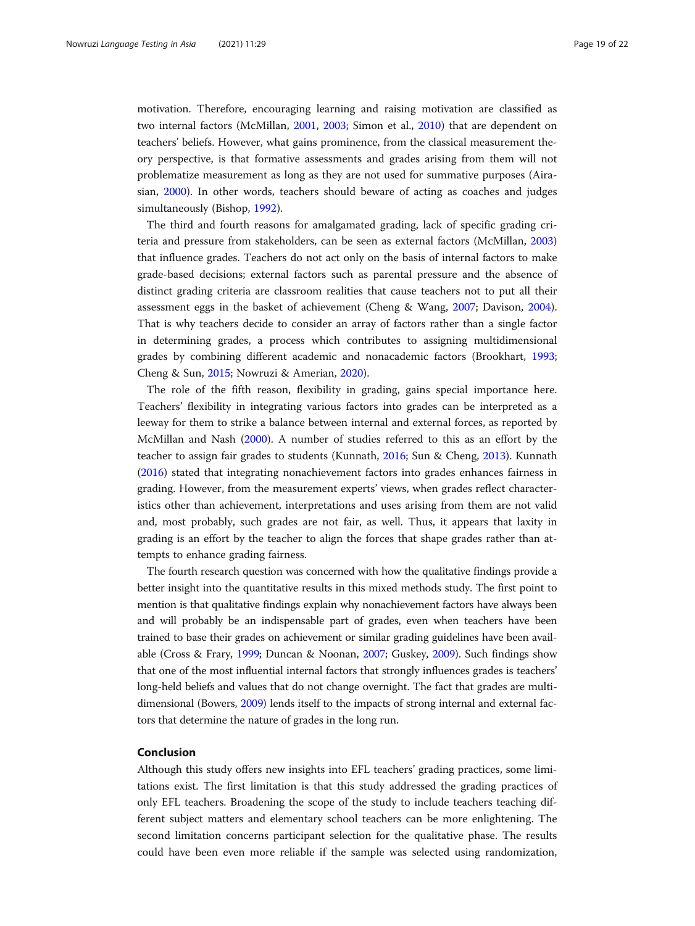motivation. Therefore, encouraging learning and raising motivation are classified as two internal factors (McMillan, [2001](#page-21-0), [2003;](#page-21-0) Simon et al., [2010](#page-21-0)) that are dependent on teachers' beliefs. However, what gains prominence, from the classical measurement theory perspective, is that formative assessments and grades arising from them will not problematize measurement as long as they are not used for summative purposes (Airasian, [2000\)](#page-20-0). In other words, teachers should beware of acting as coaches and judges simultaneously (Bishop, [1992](#page-20-0)).

The third and fourth reasons for amalgamated grading, lack of specific grading criteria and pressure from stakeholders, can be seen as external factors (McMillan, [2003](#page-21-0)) that influence grades. Teachers do not act only on the basis of internal factors to make grade-based decisions; external factors such as parental pressure and the absence of distinct grading criteria are classroom realities that cause teachers not to put all their assessment eggs in the basket of achievement (Cheng & Wang, [2007;](#page-20-0) Davison, [2004](#page-20-0)). That is why teachers decide to consider an array of factors rather than a single factor in determining grades, a process which contributes to assigning multidimensional grades by combining different academic and nonacademic factors (Brookhart, [1993](#page-20-0); Cheng & Sun, [2015;](#page-20-0) Nowruzi & Amerian, [2020](#page-21-0)).

The role of the fifth reason, flexibility in grading, gains special importance here. Teachers' flexibility in integrating various factors into grades can be interpreted as a leeway for them to strike a balance between internal and external forces, as reported by McMillan and Nash [\(2000](#page-21-0)). A number of studies referred to this as an effort by the teacher to assign fair grades to students (Kunnath, [2016;](#page-21-0) Sun & Cheng, [2013\)](#page-21-0). Kunnath ([2016](#page-21-0)) stated that integrating nonachievement factors into grades enhances fairness in grading. However, from the measurement experts' views, when grades reflect characteristics other than achievement, interpretations and uses arising from them are not valid and, most probably, such grades are not fair, as well. Thus, it appears that laxity in grading is an effort by the teacher to align the forces that shape grades rather than attempts to enhance grading fairness.

The fourth research question was concerned with how the qualitative findings provide a better insight into the quantitative results in this mixed methods study. The first point to mention is that qualitative findings explain why nonachievement factors have always been and will probably be an indispensable part of grades, even when teachers have been trained to base their grades on achievement or similar grading guidelines have been available (Cross & Frary, [1999](#page-20-0); Duncan & Noonan, [2007](#page-20-0); Guskey, [2009\)](#page-20-0). Such findings show that one of the most influential internal factors that strongly influences grades is teachers' long-held beliefs and values that do not change overnight. The fact that grades are multidimensional (Bowers, [2009\)](#page-20-0) lends itself to the impacts of strong internal and external factors that determine the nature of grades in the long run.

#### Conclusion

Although this study offers new insights into EFL teachers' grading practices, some limitations exist. The first limitation is that this study addressed the grading practices of only EFL teachers. Broadening the scope of the study to include teachers teaching different subject matters and elementary school teachers can be more enlightening. The second limitation concerns participant selection for the qualitative phase. The results could have been even more reliable if the sample was selected using randomization,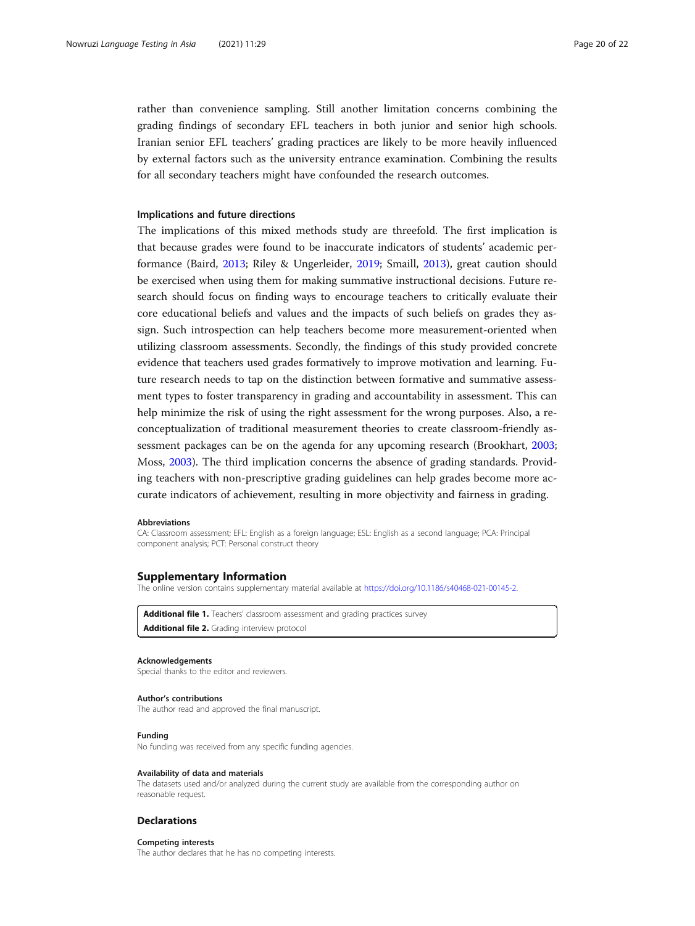<span id="page-19-0"></span>rather than convenience sampling. Still another limitation concerns combining the grading findings of secondary EFL teachers in both junior and senior high schools. Iranian senior EFL teachers' grading practices are likely to be more heavily influenced by external factors such as the university entrance examination. Combining the results for all secondary teachers might have confounded the research outcomes.

#### Implications and future directions

The implications of this mixed methods study are threefold. The first implication is that because grades were found to be inaccurate indicators of students' academic performance (Baird, [2013;](#page-20-0) Riley & Ungerleider, [2019](#page-21-0); Smaill, [2013\)](#page-21-0), great caution should be exercised when using them for making summative instructional decisions. Future research should focus on finding ways to encourage teachers to critically evaluate their core educational beliefs and values and the impacts of such beliefs on grades they assign. Such introspection can help teachers become more measurement-oriented when utilizing classroom assessments. Secondly, the findings of this study provided concrete evidence that teachers used grades formatively to improve motivation and learning. Future research needs to tap on the distinction between formative and summative assessment types to foster transparency in grading and accountability in assessment. This can help minimize the risk of using the right assessment for the wrong purposes. Also, a reconceptualization of traditional measurement theories to create classroom-friendly assessment packages can be on the agenda for any upcoming research (Brookhart, [2003](#page-20-0); Moss, [2003\)](#page-21-0). The third implication concerns the absence of grading standards. Providing teachers with non-prescriptive grading guidelines can help grades become more accurate indicators of achievement, resulting in more objectivity and fairness in grading.

#### **Abbreviations**

CA: Classroom assessment; EFL: English as a foreign language; ESL: English as a second language; PCA: Principal component analysis; PCT: Personal construct theory

#### Supplementary Information

The online version contains supplementary material available at [https://doi.org/10.1186/s40468-021-00145-2.](https://doi.org/10.1186/s40468-021-00145-2)

Additional file 1. Teachers' classroom assessment and grading practices survey Additional file 2. Grading interview protocol

#### Acknowledgements

Special thanks to the editor and reviewers.

#### Author's contributions

The author read and approved the final manuscript.

#### Funding

No funding was received from any specific funding agencies.

#### Availability of data and materials

The datasets used and/or analyzed during the current study are available from the corresponding author on reasonable request.

#### **Declarations**

#### Competing interests

The author declares that he has no competing interests.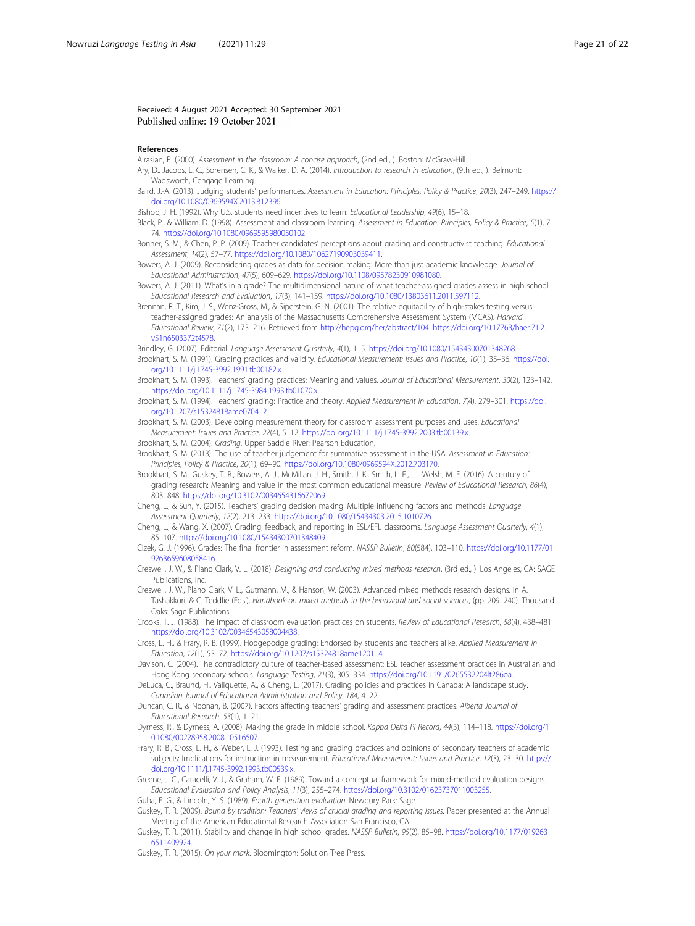#### <span id="page-20-0"></span>Received: 4 August 2021 Accepted: 30 September 2021 Published online: 19 October 2021

#### References

Airasian, P. (2000). Assessment in the classroom: A concise approach, (2nd ed., ). Boston: McGraw-Hill.

Ary, D., Jacobs, L. C., Sorensen, C. K., & Walker, D. A. (2014). Introduction to research in education, (9th ed., ). Belmont: Wadsworth, Cengage Learning.

- Baird, J.-A. (2013). Judging students' performances. Assessment in Education: Principles, Policy & Practice, 20(3), 247–249. [https://](https://doi.org/10.1080/0969594X.2013.812396) [doi.org/10.1080/0969594X.2013.812396](https://doi.org/10.1080/0969594X.2013.812396).
- Bishop, J. H. (1992). Why U.S. students need incentives to learn. Educational Leadership, 49(6), 15–18.
- Black, P., & William, D. (1998). Assessment and classroom learning. Assessment in Education: Principles, Policy & Practice, 5(1), 7– 74. [https://doi.org/10.1080/0969595980050102.](https://doi.org/10.1080/0969595980050102)

Bonner, S. M., & Chen, P. P. (2009). Teacher candidates' perceptions about grading and constructivist teaching. Educational Assessment, 14(2), 57–77. [https://doi.org/10.1080/10627190903039411.](https://doi.org/10.1080/10627190903039411)

Bowers, A. J. (2009). Reconsidering grades as data for decision making: More than just academic knowledge. Journal of Educational Administration, 47(5), 609–629. <https://doi.org/10.1108/09578230910981080>.

Bowers, A. J. (2011). What's in a grade? The multidimensional nature of what teacher-assigned grades assess in high school. Educational Research and Evaluation, 17(3), 141–159. [https://doi.org/10.1080/13803611.2011.597112.](https://doi.org/10.1080/13803611.2011.597112)

Brennan, R. T., Kim, J. S., Wenz-Gross, M., & Siperstein, G. N. (2001). The relative equitability of high-stakes testing versus teacher-assigned grades: An analysis of the Massachusetts Comprehensive Assessment System (MCAS). Harvard Educational Review, 71(2), 173–216. Retrieved from [http://hepg.org/her/abstract/104.](http://hepg.org/her/abstract/104) [https://doi.org/10.17763/haer.71.2.](https://doi.org/10.17763/haer.71.2.v51n6503372t4578) [v51n6503372t4578](https://doi.org/10.17763/haer.71.2.v51n6503372t4578).

Brindley, G. (2007). Editorial. Language Assessment Quarterly, 4(1), 1–5. [https://doi.org/10.1080/15434300701348268.](https://doi.org/10.1080/15434300701348268) Brookhart, S. M. (1991). Grading practices and validity. Educational Measurement: Issues and Practice, 10(1), 35–36. [https://doi.](https://doi.org/10.1111/j.1745-3992.1991.tb00182.x) [org/10.1111/j.1745-3992.1991.tb00182.x](https://doi.org/10.1111/j.1745-3992.1991.tb00182.x).

- Brookhart, S. M. (1993). Teachers' grading practices: Meaning and values. Journal of Educational Measurement, 30(2), 123–142. <https://doi.org/10.1111/j.1745-3984.1993.tb01070.x>.
- Brookhart, S. M. (1994). Teachers' grading: Practice and theory. Applied Measurement in Education, 7(4), 279–301. [https://doi.](https://doi.org/10.1207/s15324818ame0704_2) [org/10.1207/s15324818ame0704\\_2.](https://doi.org/10.1207/s15324818ame0704_2)

Brookhart, S. M. (2003). Developing measurement theory for classroom assessment purposes and uses. Educational Measurement: Issues and Practice, 22(4), 5–12. [https://doi.org/10.1111/j.1745-3992.2003.tb00139.x.](https://doi.org/10.1111/j.1745-3992.2003.tb00139.x)

- Brookhart, S. M. (2004). Grading. Upper Saddle River: Pearson Education.
- Brookhart, S. M. (2013). The use of teacher judgement for summative assessment in the USA. Assessment in Education: Principles, Policy & Practice, 20(1), 69–90. <https://doi.org/10.1080/0969594X.2012.703170>.
- Brookhart, S. M., Guskey, T. R., Bowers, A. J., McMillan, J. H., Smith, J. K., Smith, L. F., … Welsh, M. E. (2016). A century of grading research: Meaning and value in the most common educational measure. Review of Educational Research, 86(4), 803–848. [https://doi.org/10.3102/0034654316672069.](https://doi.org/10.3102/0034654316672069)

Cheng, L., & Sun, Y. (2015). Teachers' grading decision making: Multiple influencing factors and methods. Language Assessment Quarterly, 12(2), 213–233. [https://doi.org/10.1080/15434303.2015.1010726.](https://doi.org/10.1080/15434303.2015.1010726)

- Cheng, L., & Wang, X. (2007). Grading, feedback, and reporting in ESL/EFL classrooms. Language Assessment Quarterly, 4(1), 85–107. [https://doi.org/10.1080/15434300701348409.](https://doi.org/10.1080/15434300701348409)
- Cizek, G. J. (1996). Grades: The final frontier in assessment reform. NASSP Bulletin, 80(584), 103–110. [https://doi.org/10.1177/01](https://doi.org/10.1177/019263659608058416) [9263659608058416](https://doi.org/10.1177/019263659608058416).
- Creswell, J. W., & Plano Clark, V. L. (2018). Designing and conducting mixed methods research, (3rd ed., ). Los Angeles, CA: SAGE Publications, Inc.
- Creswell, J. W., Plano Clark, V. L., Gutmann, M., & Hanson, W. (2003). Advanced mixed methods research designs. In A. Tashakkori, & C. Teddlie (Eds.), Handbook on mixed methods in the behavioral and social sciences, (pp. 209–240). Thousand Oaks: Sage Publications.

Crooks, T. J. (1988). The impact of classroom evaluation practices on students. Review of Educational Research, 58(4), 438–481. [https://doi.org/10.3102/00346543058004438.](https://doi.org/10.3102/00346543058004438)

Cross, L. H., & Frary, R. B. (1999). Hodgepodge grading: Endorsed by students and teachers alike. Applied Measurement in Education, 12(1), 53–72. [https://doi.org/10.1207/s15324818ame1201\\_4.](https://doi.org/10.1207/s15324818ame1201_4)

- Davison, C. (2004). The contradictory culture of teacher-based assessment: ESL teacher assessment practices in Australian and Hong Kong secondary schools. Language Testing, 21(3), 305–334. [https://doi.org/10.1191/0265532204lt286oa.](https://doi.org/10.1191/0265532204lt286oa)
- DeLuca, C., Braund, H., Valiquette, A., & Cheng, L. (2017). Grading policies and practices in Canada: A landscape study. Canadian Journal of Educational Administration and Policy, 184, 4–22.

Duncan, C. R., & Noonan, B. (2007). Factors affecting teachers' grading and assessment practices. Alberta Journal of Educational Research, 53(1), 1–21.

- Dyrness, R., & Dyrness, A. (2008). Making the grade in middle school. Kappa Delta Pi Record, 44(3), 114–118. [https://doi.org/1](https://doi.org/10.1080/00228958.2008.10516507) [0.1080/00228958.2008.10516507.](https://doi.org/10.1080/00228958.2008.10516507)
- Frary, R. B., Cross, L. H., & Weber, L. J. (1993). Testing and grading practices and opinions of secondary teachers of academic subjects: Implications for instruction in measurement. Educational Measurement: Issues and Practice, 12(3), 23-30. [https://](https://doi.org/10.1111/j.1745-3992.1993.tb00539.x) [doi.org/10.1111/j.1745-3992.1993.tb00539.x.](https://doi.org/10.1111/j.1745-3992.1993.tb00539.x)

Greene, J. C., Caracelli, V. J., & Graham, W. F. (1989). Toward a conceptual framework for mixed-method evaluation designs. Educational Evaluation and Policy Analysis, 11(3), 255–274. [https://doi.org/10.3102/01623737011003255.](https://doi.org/10.3102/01623737011003255)

Guba, E. G., & Lincoln, Y. S. (1989). Fourth generation evaluation. Newbury Park: Sage.

- Guskey, T. R. (2009). Bound by tradition: Teachers' views of crucial grading and reporting issues. Paper presented at the Annual Meeting of the American Educational Research Association San Francisco, CA.
- Guskey, T. R. (2011). Stability and change in high school grades. NASSP Bulletin, 95(2), 85–98. [https://doi.org/10.1177/019263](https://doi.org/10.1177/0192636511409924) [6511409924.](https://doi.org/10.1177/0192636511409924)

Guskey, T. R. (2015). On your mark. Bloomington: Solution Tree Press.